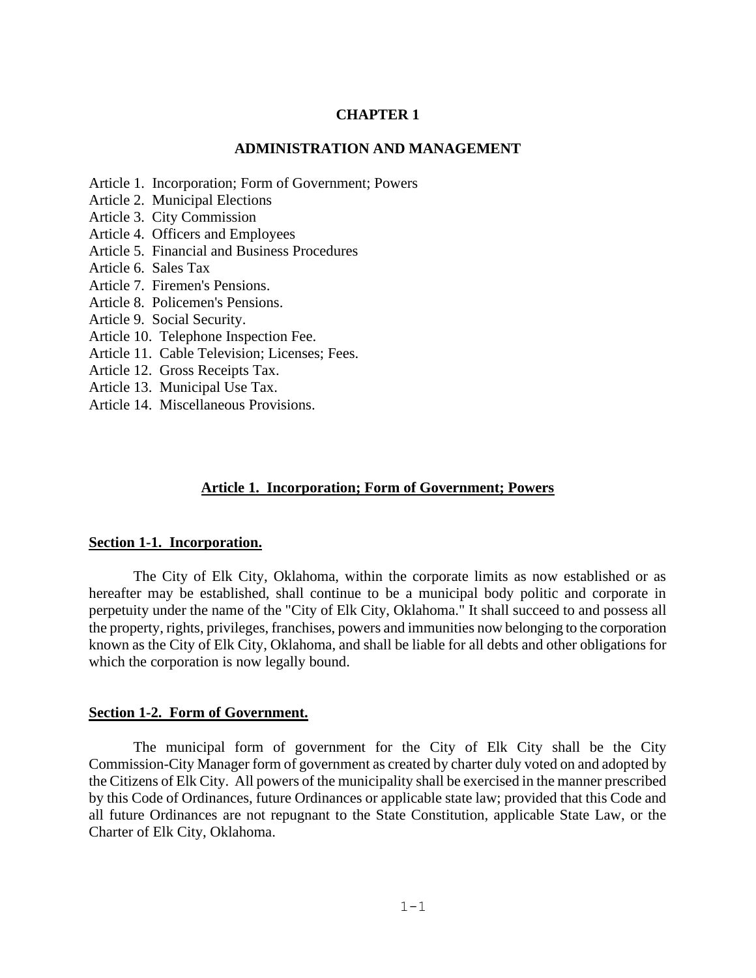#### **CHAPTER 1**

#### **ADMINISTRATION AND MANAGEMENT**

- Article [1. Incorporation;](#page-0-0) Form of Government; Powers
- Article [2. Municipal](#page-1-0) Elections
- Article 3. City [Commission](#page-1-1)
- Article [4. Officers](#page-4-0) and Employees
- Article 5. Financial and Business Procedures
- Article [6. Sales](#page-28-0) Tax
- Article [7. Firemen's](#page-33-0) Pensions.
- Article [8. Policemen's](#page-33-1) Pensions.
- Article [9. Social](#page-34-0) Security.
- Article [10. Telephone](#page-35-0) Inspection Fee.
- Article 11. Cable [Television;](#page-36-0) Licenses; Fees.
- Article [12. Gross](#page-36-1) Receipts Tax.
- Article [13. Municipal](#page-37-0) Use Tax.
- <span id="page-0-0"></span>Article [14. Miscellaneous](#page-43-0) Provisions.

#### **Article 1. Incorporation; Form of Government; Powers**

#### **Section 1-1. Incorporation.**

The City of Elk City, Oklahoma, within the corporate limits as now established or as hereafter may be established, shall continue to be a municipal body politic and corporate in perpetuity under the name of the "City of Elk City, Oklahoma." It shall succeed to and possess all the property, rights, privileges, franchises, powers and immunities now belonging to the corporation known as the City of Elk City, Oklahoma, and shall be liable for all debts and other obligations for which the corporation is now legally bound.

#### **Section 1-2. Form of Government.**

The municipal form of government for the City of Elk City shall be the City Commission-City Manager form of government as created by charter duly voted on and adopted by the Citizens of Elk City. All powers of the municipality shall be exercised in the manner prescribed by this Code of Ordinances, future Ordinances or applicable state law; provided that this Code and all future Ordinances are not repugnant to the State Constitution, applicable State Law, or the Charter of Elk City, Oklahoma.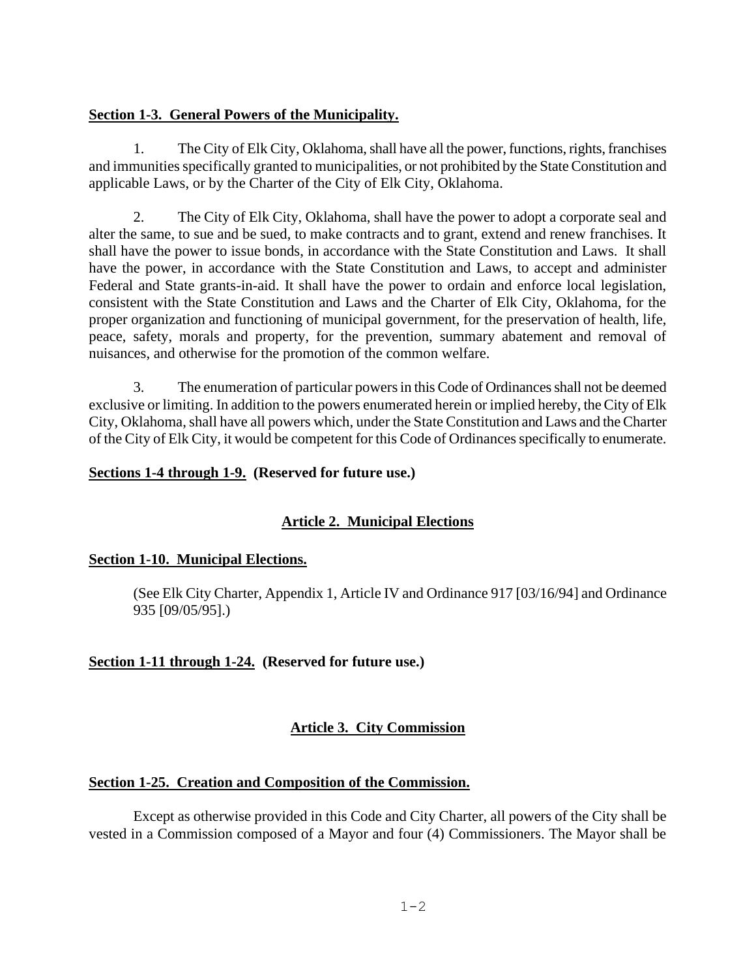### **Section 1-3. General Powers of the Municipality.**

1. The City of Elk City, Oklahoma, shall have all the power, functions, rights, franchises and immunities specifically granted to municipalities, or not prohibited by the State Constitution and applicable Laws, or by the Charter of the City of Elk City, Oklahoma.

2. The City of Elk City, Oklahoma, shall have the power to adopt a corporate seal and alter the same, to sue and be sued, to make contracts and to grant, extend and renew franchises. It shall have the power to issue bonds, in accordance with the State Constitution and Laws. It shall have the power, in accordance with the State Constitution and Laws, to accept and administer Federal and State grants-in-aid. It shall have the power to ordain and enforce local legislation, consistent with the State Constitution and Laws and the Charter of Elk City, Oklahoma, for the proper organization and functioning of municipal government, for the preservation of health, life, peace, safety, morals and property, for the prevention, summary abatement and removal of nuisances, and otherwise for the promotion of the common welfare.

3. The enumeration of particular powers in this Code of Ordinances shall not be deemed exclusive or limiting. In addition to the powers enumerated herein or implied hereby, the City of Elk City, Oklahoma, shall have all powers which, under the State Constitution and Laws and the Charter of the City of Elk City, it would be competent for this Code of Ordinances specifically to enumerate.

### <span id="page-1-0"></span>**Sections 1-4 through 1-9. (Reserved for future use.)**

## **Article 2. Municipal Elections**

## **Section 1-10. Municipal Elections.**

(See Elk City Charter, Appendix 1, Article IV and Ordinance 917 [03/16/94] and Ordinance 935 [09/05/95].)

## <span id="page-1-1"></span>**Section 1-11 through 1-24. (Reserved for future use.)**

## **Article 3. City Commission**

## **Section 1-25. Creation and Composition of the Commission.**

Except as otherwise provided in this Code and City Charter, all powers of the City shall be vested in a Commission composed of a Mayor and four (4) Commissioners. The Mayor shall be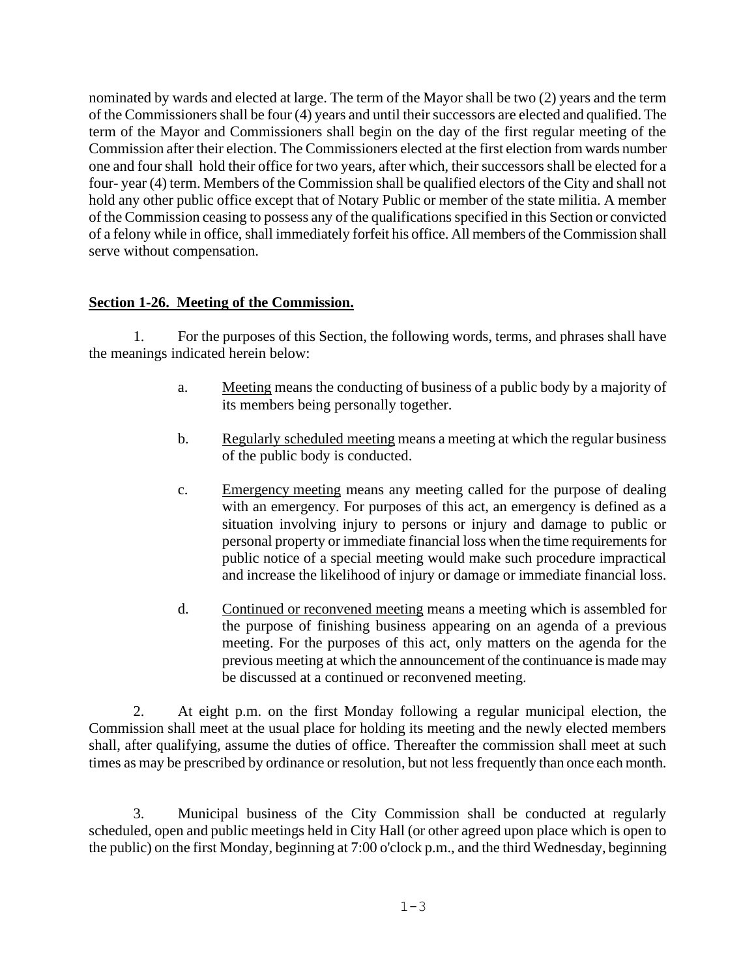nominated by wards and elected at large. The term of the Mayor shall be two (2) years and the term of the Commissioners shall be four (4) years and until their successors are elected and qualified. The term of the Mayor and Commissioners shall begin on the day of the first regular meeting of the Commission after their election. The Commissioners elected at the first election from wards number one and four shall hold their office for two years, after which, their successors shall be elected for a four- year (4) term. Members of the Commission shall be qualified electors of the City and shall not hold any other public office except that of Notary Public or member of the state militia. A member of the Commission ceasing to possess any of the qualifications specified in this Section or convicted of a felony while in office, shall immediately forfeit his office. All members of the Commission shall serve without compensation.

## **Section 1-26. Meeting of the Commission.**

1. For the purposes of this Section, the following words, terms, and phrases shall have the meanings indicated herein below:

- a. Meeting means the conducting of business of a public body by a majority of its members being personally together.
- b. Regularly scheduled meeting means a meeting at which the regular business of the public body is conducted.
- c. Emergency meeting means any meeting called for the purpose of dealing with an emergency. For purposes of this act, an emergency is defined as a situation involving injury to persons or injury and damage to public or personal property or immediate financial loss when the time requirements for public notice of a special meeting would make such procedure impractical and increase the likelihood of injury or damage or immediate financial loss.
- d. Continued or reconvened meeting means a meeting which is assembled for the purpose of finishing business appearing on an agenda of a previous meeting. For the purposes of this act, only matters on the agenda for the previous meeting at which the announcement of the continuance is made may be discussed at a continued or reconvened meeting.

2. At eight p.m. on the first Monday following a regular municipal election, the Commission shall meet at the usual place for holding its meeting and the newly elected members shall, after qualifying, assume the duties of office. Thereafter the commission shall meet at such times as may be prescribed by ordinance or resolution, but not less frequently than once each month.

3. Municipal business of the City Commission shall be conducted at regularly scheduled, open and public meetings held in City Hall (or other agreed upon place which is open to the public) on the first Monday, beginning at 7:00 o'clock p.m., and the third Wednesday, beginning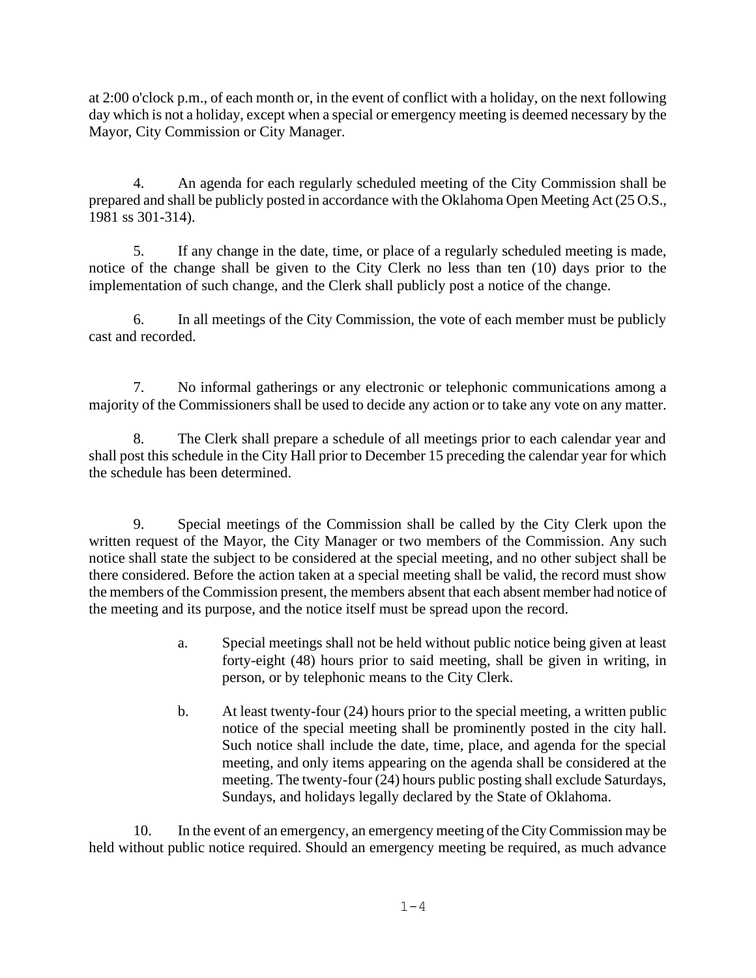at 2:00 o'clock p.m., of each month or, in the event of conflict with a holiday, on the next following day which is not a holiday, except when a special or emergency meeting is deemed necessary by the Mayor, City Commission or City Manager.

4. An agenda for each regularly scheduled meeting of the City Commission shall be prepared and shall be publicly posted in accordance with the Oklahoma Open Meeting Act (25 O.S., 1981 ss 301-314).

5. If any change in the date, time, or place of a regularly scheduled meeting is made, notice of the change shall be given to the City Clerk no less than ten (10) days prior to the implementation of such change, and the Clerk shall publicly post a notice of the change.

6. In all meetings of the City Commission, the vote of each member must be publicly cast and recorded.

7. No informal gatherings or any electronic or telephonic communications among a majority of the Commissioners shall be used to decide any action or to take any vote on any matter.

8. The Clerk shall prepare a schedule of all meetings prior to each calendar year and shall post this schedule in the City Hall prior to December 15 preceding the calendar year for which the schedule has been determined.

9. Special meetings of the Commission shall be called by the City Clerk upon the written request of the Mayor, the City Manager or two members of the Commission. Any such notice shall state the subject to be considered at the special meeting, and no other subject shall be there considered. Before the action taken at a special meeting shall be valid, the record must show the members of the Commission present, the members absent that each absent member had notice of the meeting and its purpose, and the notice itself must be spread upon the record.

- a. Special meetings shall not be held without public notice being given at least forty-eight (48) hours prior to said meeting, shall be given in writing, in person, or by telephonic means to the City Clerk.
- b. At least twenty-four (24) hours prior to the special meeting, a written public notice of the special meeting shall be prominently posted in the city hall. Such notice shall include the date, time, place, and agenda for the special meeting, and only items appearing on the agenda shall be considered at the meeting. The twenty-four (24) hours public posting shall exclude Saturdays, Sundays, and holidays legally declared by the State of Oklahoma.

10. In the event of an emergency, an emergency meeting of the City Commission may be held without public notice required. Should an emergency meeting be required, as much advance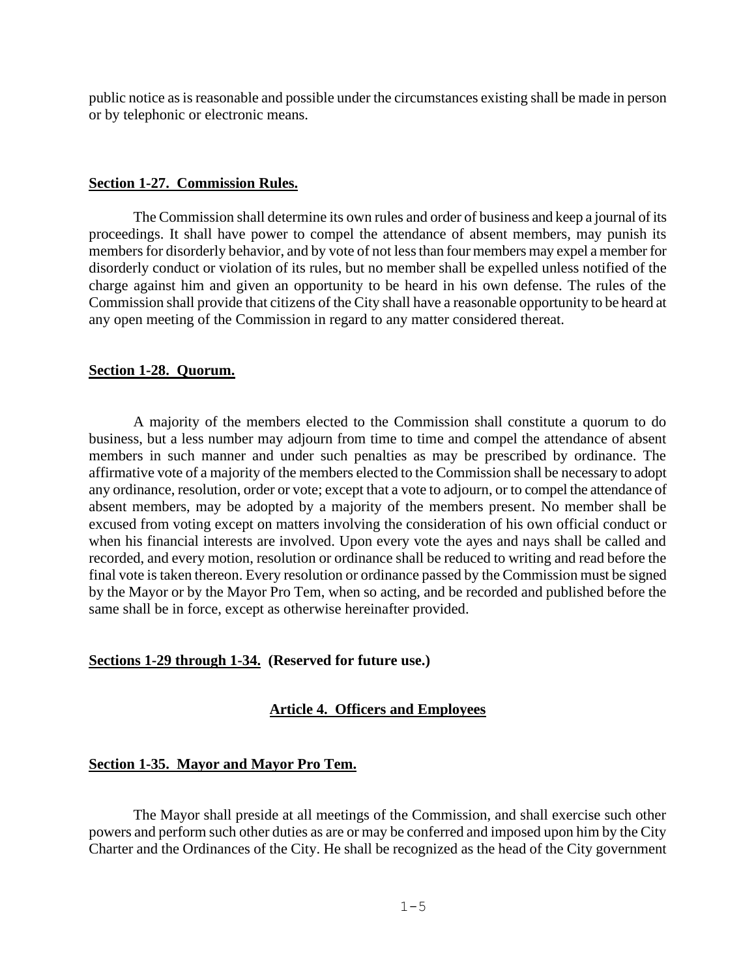public notice as is reasonable and possible under the circumstances existing shall be made in person or by telephonic or electronic means.

#### **Section 1-27. Commission Rules.**

The Commission shall determine its own rules and order of business and keep a journal of its proceedings. It shall have power to compel the attendance of absent members, may punish its members for disorderly behavior, and by vote of not less than four members may expel a member for disorderly conduct or violation of its rules, but no member shall be expelled unless notified of the charge against him and given an opportunity to be heard in his own defense. The rules of the Commission shall provide that citizens of the City shall have a reasonable opportunity to be heard at any open meeting of the Commission in regard to any matter considered thereat.

#### **Section 1-28. Quorum.**

A majority of the members elected to the Commission shall constitute a quorum to do business, but a less number may adjourn from time to time and compel the attendance of absent members in such manner and under such penalties as may be prescribed by ordinance. The affirmative vote of a majority of the members elected to the Commission shall be necessary to adopt any ordinance, resolution, order or vote; except that a vote to adjourn, or to compel the attendance of absent members, may be adopted by a majority of the members present. No member shall be excused from voting except on matters involving the consideration of his own official conduct or when his financial interests are involved. Upon every vote the ayes and nays shall be called and recorded, and every motion, resolution or ordinance shall be reduced to writing and read before the final vote is taken thereon. Every resolution or ordinance passed by the Commission must be signed by the Mayor or by the Mayor Pro Tem, when so acting, and be recorded and published before the same shall be in force, except as otherwise hereinafter provided.

#### <span id="page-4-0"></span>**Sections 1-29 through 1-34. (Reserved for future use.)**

#### **Article 4. Officers and Employees**

#### **Section 1-35. Mayor and Mayor Pro Tem.**

The Mayor shall preside at all meetings of the Commission, and shall exercise such other powers and perform such other duties as are or may be conferred and imposed upon him by the City Charter and the Ordinances of the City. He shall be recognized as the head of the City government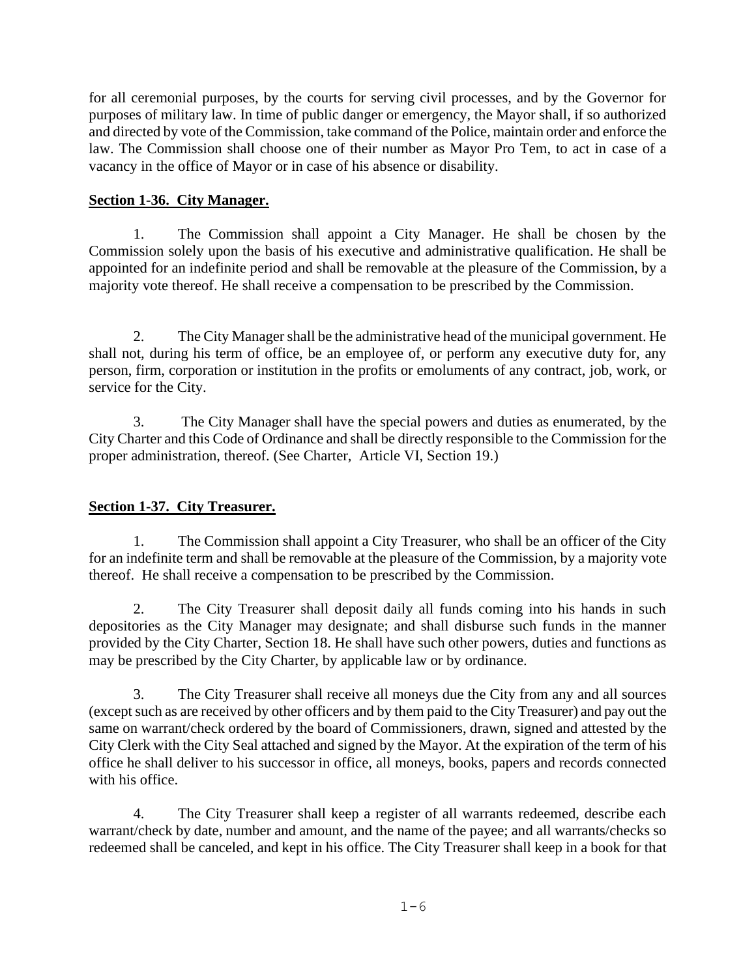for all ceremonial purposes, by the courts for serving civil processes, and by the Governor for purposes of military law. In time of public danger or emergency, the Mayor shall, if so authorized and directed by vote of the Commission, take command of the Police, maintain order and enforce the law. The Commission shall choose one of their number as Mayor Pro Tem, to act in case of a vacancy in the office of Mayor or in case of his absence or disability.

## **Section 1-36. City Manager.**

1. The Commission shall appoint a City Manager. He shall be chosen by the Commission solely upon the basis of his executive and administrative qualification. He shall be appointed for an indefinite period and shall be removable at the pleasure of the Commission, by a majority vote thereof. He shall receive a compensation to be prescribed by the Commission.

2. The City Manager shall be the administrative head of the municipal government. He shall not, during his term of office, be an employee of, or perform any executive duty for, any person, firm, corporation or institution in the profits or emoluments of any contract, job, work, or service for the City.

3. The City Manager shall have the special powers and duties as enumerated, by the City Charter and this Code of Ordinance and shall be directly responsible to the Commission for the proper administration, thereof. (See Charter, Article VI, Section 19.)

# **Section 1-37. City Treasurer.**

1. The Commission shall appoint a City Treasurer, who shall be an officer of the City for an indefinite term and shall be removable at the pleasure of the Commission, by a majority vote thereof. He shall receive a compensation to be prescribed by the Commission.

2. The City Treasurer shall deposit daily all funds coming into his hands in such depositories as the City Manager may designate; and shall disburse such funds in the manner provided by the City Charter, Section 18. He shall have such other powers, duties and functions as may be prescribed by the City Charter, by applicable law or by ordinance.

3. The City Treasurer shall receive all moneys due the City from any and all sources (except such as are received by other officers and by them paid to the City Treasurer) and pay out the same on warrant/check ordered by the board of Commissioners, drawn, signed and attested by the City Clerk with the City Seal attached and signed by the Mayor. At the expiration of the term of his office he shall deliver to his successor in office, all moneys, books, papers and records connected with his office.

4. The City Treasurer shall keep a register of all warrants redeemed, describe each warrant/check by date, number and amount, and the name of the payee; and all warrants/checks so redeemed shall be canceled, and kept in his office. The City Treasurer shall keep in a book for that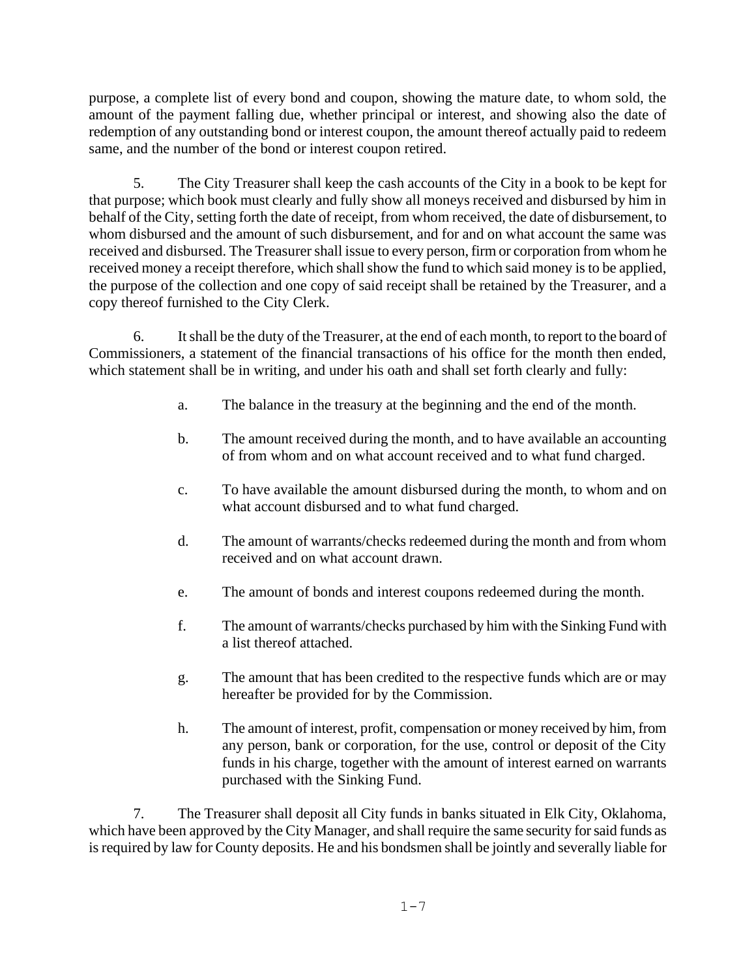purpose, a complete list of every bond and coupon, showing the mature date, to whom sold, the amount of the payment falling due, whether principal or interest, and showing also the date of redemption of any outstanding bond or interest coupon, the amount thereof actually paid to redeem same, and the number of the bond or interest coupon retired.

5. The City Treasurer shall keep the cash accounts of the City in a book to be kept for that purpose; which book must clearly and fully show all moneys received and disbursed by him in behalf of the City, setting forth the date of receipt, from whom received, the date of disbursement, to whom disbursed and the amount of such disbursement, and for and on what account the same was received and disbursed. The Treasurer shall issue to every person, firm or corporation from whom he received money a receipt therefore, which shall show the fund to which said money is to be applied, the purpose of the collection and one copy of said receipt shall be retained by the Treasurer, and a copy thereof furnished to the City Clerk.

6. It shall be the duty of the Treasurer, at the end of each month, to report to the board of Commissioners, a statement of the financial transactions of his office for the month then ended, which statement shall be in writing, and under his oath and shall set forth clearly and fully:

- a. The balance in the treasury at the beginning and the end of the month.
- b. The amount received during the month, and to have available an accounting of from whom and on what account received and to what fund charged.
- c. To have available the amount disbursed during the month, to whom and on what account disbursed and to what fund charged.
- d. The amount of warrants/checks redeemed during the month and from whom received and on what account drawn.
- e. The amount of bonds and interest coupons redeemed during the month.
- f. The amount of warrants/checks purchased by him with the Sinking Fund with a list thereof attached.
- g. The amount that has been credited to the respective funds which are or may hereafter be provided for by the Commission.
- h. The amount of interest, profit, compensation or money received by him, from any person, bank or corporation, for the use, control or deposit of the City funds in his charge, together with the amount of interest earned on warrants purchased with the Sinking Fund.

7. The Treasurer shall deposit all City funds in banks situated in Elk City, Oklahoma, which have been approved by the City Manager, and shall require the same security for said funds as is required by law for County deposits. He and his bondsmen shall be jointly and severally liable for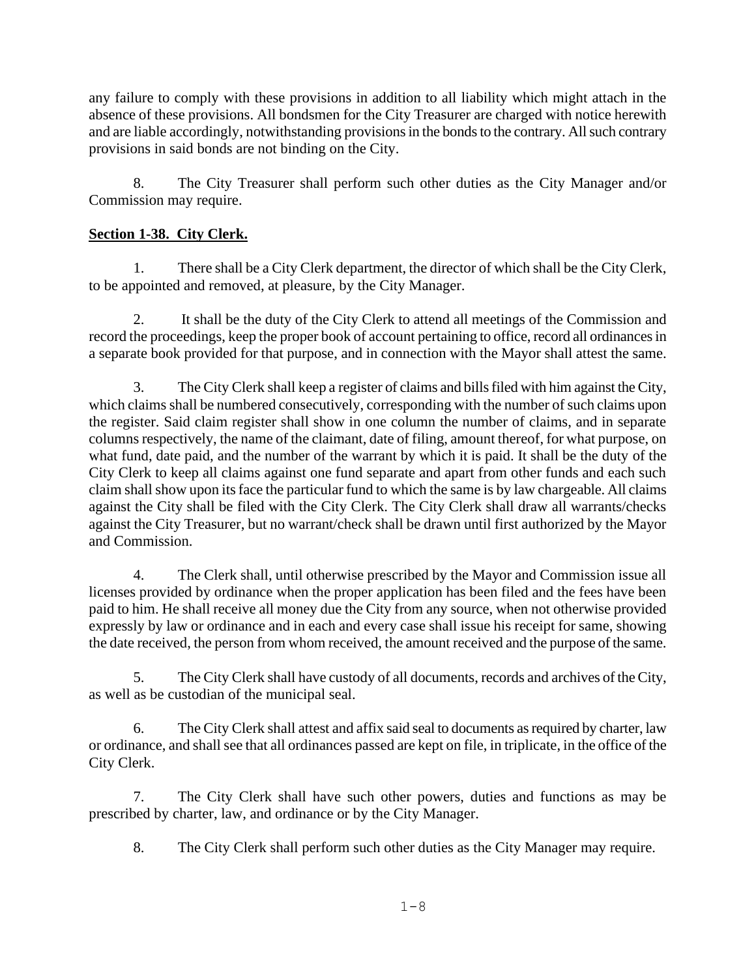any failure to comply with these provisions in addition to all liability which might attach in the absence of these provisions. All bondsmen for the City Treasurer are charged with notice herewith and are liable accordingly, notwithstanding provisions in the bonds to the contrary. All such contrary provisions in said bonds are not binding on the City.

8. The City Treasurer shall perform such other duties as the City Manager and/or Commission may require.

# **Section 1-38. City Clerk.**

1. There shall be a City Clerk department, the director of which shall be the City Clerk, to be appointed and removed, at pleasure, by the City Manager.

2. It shall be the duty of the City Clerk to attend all meetings of the Commission and record the proceedings, keep the proper book of account pertaining to office, record all ordinances in a separate book provided for that purpose, and in connection with the Mayor shall attest the same.

3. The City Clerk shall keep a register of claims and bills filed with him against the City, which claims shall be numbered consecutively, corresponding with the number of such claims upon the register. Said claim register shall show in one column the number of claims, and in separate columns respectively, the name of the claimant, date of filing, amount thereof, for what purpose, on what fund, date paid, and the number of the warrant by which it is paid. It shall be the duty of the City Clerk to keep all claims against one fund separate and apart from other funds and each such claim shall show upon its face the particular fund to which the same is by law chargeable. All claims against the City shall be filed with the City Clerk. The City Clerk shall draw all warrants/checks against the City Treasurer, but no warrant/check shall be drawn until first authorized by the Mayor and Commission.

4. The Clerk shall, until otherwise prescribed by the Mayor and Commission issue all licenses provided by ordinance when the proper application has been filed and the fees have been paid to him. He shall receive all money due the City from any source, when not otherwise provided expressly by law or ordinance and in each and every case shall issue his receipt for same, showing the date received, the person from whom received, the amount received and the purpose of the same.

5. The City Clerk shall have custody of all documents, records and archives of the City, as well as be custodian of the municipal seal.

6. The City Clerk shall attest and affix said seal to documents as required by charter, law or ordinance, and shall see that all ordinances passed are kept on file, in triplicate, in the office of the City Clerk.

7. The City Clerk shall have such other powers, duties and functions as may be prescribed by charter, law, and ordinance or by the City Manager.

8. The City Clerk shall perform such other duties as the City Manager may require.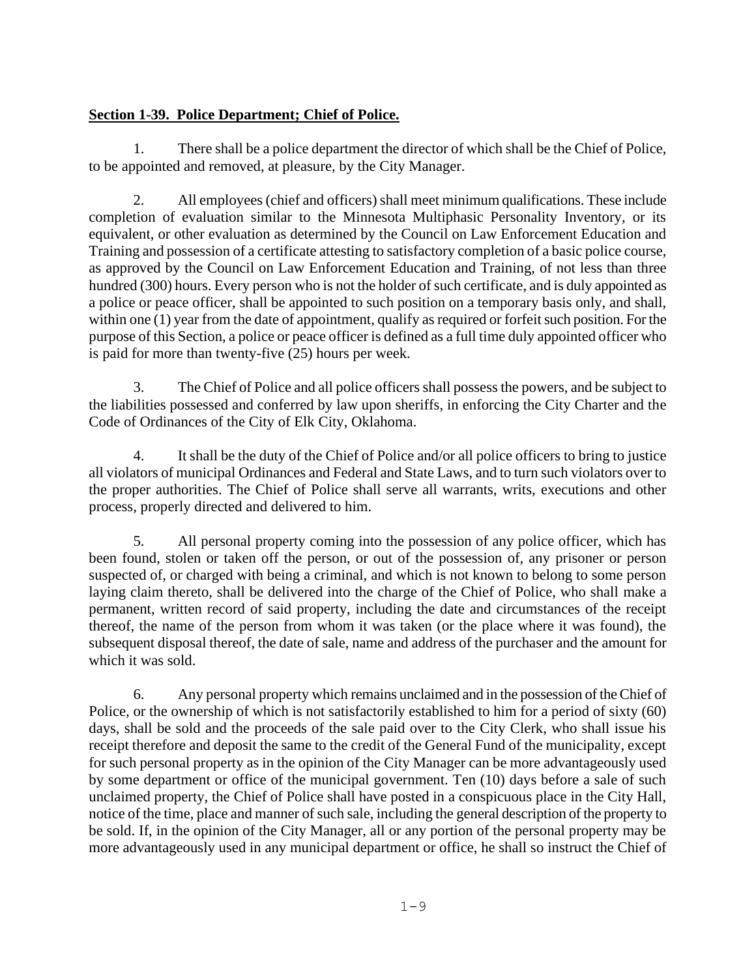# **Section 1-39. Police Department; Chief of Police.**

1. There shall be a police department the director of which shall be the Chief of Police, to be appointed and removed, at pleasure, by the City Manager.

2. All employees (chief and officers) shall meet minimum qualifications. These include completion of evaluation similar to the Minnesota Multiphasic Personality Inventory, or its equivalent, or other evaluation as determined by the Council on Law Enforcement Education and Training and possession of a certificate attesting to satisfactory completion of a basic police course, as approved by the Council on Law Enforcement Education and Training, of not less than three hundred (300) hours. Every person who is not the holder of such certificate, and is duly appointed as a police or peace officer, shall be appointed to such position on a temporary basis only, and shall, within one (1) year from the date of appointment, qualify as required or forfeit such position. For the purpose of this Section, a police or peace officer is defined as a full time duly appointed officer who is paid for more than twenty-five (25) hours per week.

3. The Chief of Police and all police officers shall possess the powers, and be subject to the liabilities possessed and conferred by law upon sheriffs, in enforcing the City Charter and the Code of Ordinances of the City of Elk City, Oklahoma.

4. It shall be the duty of the Chief of Police and/or all police officers to bring to justice all violators of municipal Ordinances and Federal and State Laws, and to turn such violators over to the proper authorities. The Chief of Police shall serve all warrants, writs, executions and other process, properly directed and delivered to him.

5. All personal property coming into the possession of any police officer, which has been found, stolen or taken off the person, or out of the possession of, any prisoner or person suspected of, or charged with being a criminal, and which is not known to belong to some person laying claim thereto, shall be delivered into the charge of the Chief of Police, who shall make a permanent, written record of said property, including the date and circumstances of the receipt thereof, the name of the person from whom it was taken (or the place where it was found), the subsequent disposal thereof, the date of sale, name and address of the purchaser and the amount for which it was sold.

6. Any personal property which remains unclaimed and in the possession of the Chief of Police, or the ownership of which is not satisfactorily established to him for a period of sixty (60) days, shall be sold and the proceeds of the sale paid over to the City Clerk, who shall issue his receipt therefore and deposit the same to the credit of the General Fund of the municipality, except for such personal property as in the opinion of the City Manager can be more advantageously used by some department or office of the municipal government. Ten (10) days before a sale of such unclaimed property, the Chief of Police shall have posted in a conspicuous place in the City Hall, notice of the time, place and manner of such sale, including the general description of the property to be sold. If, in the opinion of the City Manager, all or any portion of the personal property may be more advantageously used in any municipal department or office, he shall so instruct the Chief of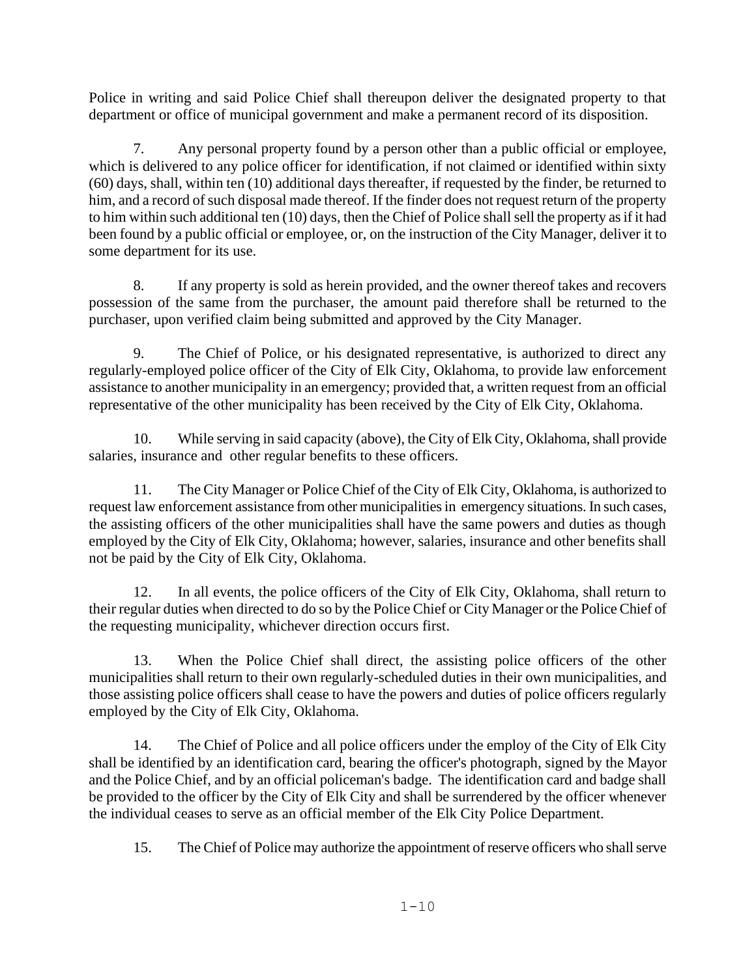Police in writing and said Police Chief shall thereupon deliver the designated property to that department or office of municipal government and make a permanent record of its disposition.

7. Any personal property found by a person other than a public official or employee, which is delivered to any police officer for identification, if not claimed or identified within sixty (60) days, shall, within ten (10) additional days thereafter, if requested by the finder, be returned to him, and a record of such disposal made thereof. If the finder does not request return of the property to him within such additional ten (10) days, then the Chief of Police shall sell the property as if it had been found by a public official or employee, or, on the instruction of the City Manager, deliver it to some department for its use.

8. If any property is sold as herein provided, and the owner thereof takes and recovers possession of the same from the purchaser, the amount paid therefore shall be returned to the purchaser, upon verified claim being submitted and approved by the City Manager.

9. The Chief of Police, or his designated representative, is authorized to direct any regularly-employed police officer of the City of Elk City, Oklahoma, to provide law enforcement assistance to another municipality in an emergency; provided that, a written request from an official representative of the other municipality has been received by the City of Elk City, Oklahoma.

10. While serving in said capacity (above), the City of Elk City, Oklahoma, shall provide salaries, insurance and other regular benefits to these officers.

11. The City Manager or Police Chief of the City of Elk City, Oklahoma, is authorized to request law enforcement assistance from other municipalities in emergency situations. In such cases, the assisting officers of the other municipalities shall have the same powers and duties as though employed by the City of Elk City, Oklahoma; however, salaries, insurance and other benefits shall not be paid by the City of Elk City, Oklahoma.

12. In all events, the police officers of the City of Elk City, Oklahoma, shall return to their regular duties when directed to do so by the Police Chief or City Manager or the Police Chief of the requesting municipality, whichever direction occurs first.

13. When the Police Chief shall direct, the assisting police officers of the other municipalities shall return to their own regularly-scheduled duties in their own municipalities, and those assisting police officers shall cease to have the powers and duties of police officers regularly employed by the City of Elk City, Oklahoma.

14. The Chief of Police and all police officers under the employ of the City of Elk City shall be identified by an identification card, bearing the officer's photograph, signed by the Mayor and the Police Chief, and by an official policeman's badge. The identification card and badge shall be provided to the officer by the City of Elk City and shall be surrendered by the officer whenever the individual ceases to serve as an official member of the Elk City Police Department.

15. The Chief of Police may authorize the appointment of reserve officers who shall serve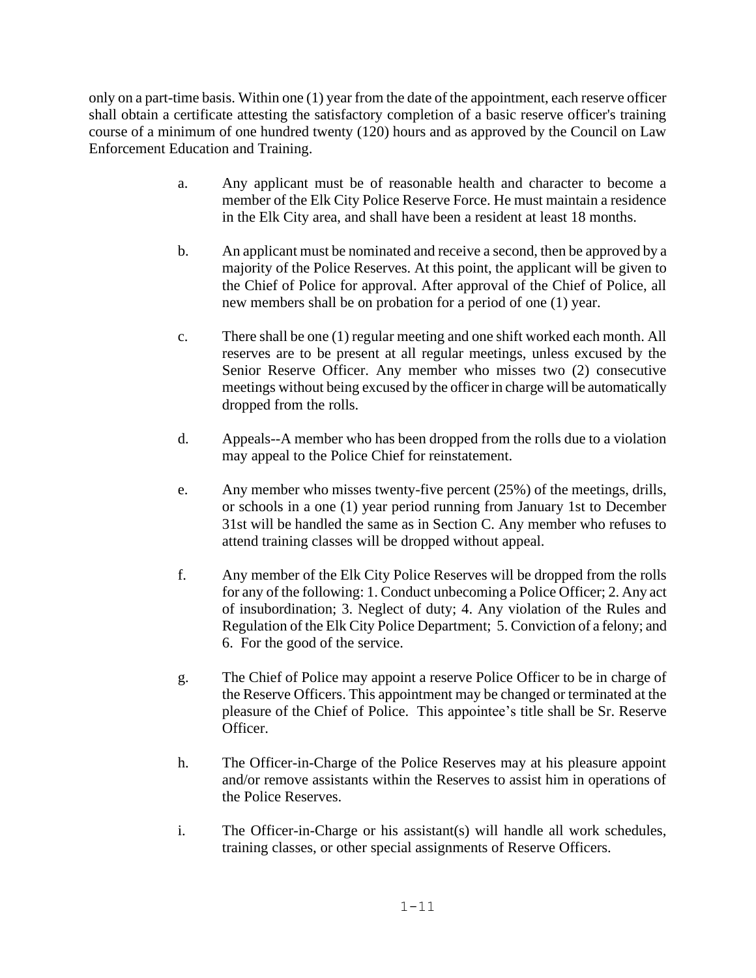only on a part-time basis. Within one (1) year from the date of the appointment, each reserve officer shall obtain a certificate attesting the satisfactory completion of a basic reserve officer's training course of a minimum of one hundred twenty (120) hours and as approved by the Council on Law Enforcement Education and Training.

- a. Any applicant must be of reasonable health and character to become a member of the Elk City Police Reserve Force. He must maintain a residence in the Elk City area, and shall have been a resident at least 18 months.
- b. An applicant must be nominated and receive a second, then be approved by a majority of the Police Reserves. At this point, the applicant will be given to the Chief of Police for approval. After approval of the Chief of Police, all new members shall be on probation for a period of one (1) year.
- c. There shall be one (1) regular meeting and one shift worked each month. All reserves are to be present at all regular meetings, unless excused by the Senior Reserve Officer. Any member who misses two (2) consecutive meetings without being excused by the officer in charge will be automatically dropped from the rolls.
- d. Appeals--A member who has been dropped from the rolls due to a violation may appeal to the Police Chief for reinstatement.
- e. Any member who misses twenty-five percent (25%) of the meetings, drills, or schools in a one (1) year period running from January 1st to December 31st will be handled the same as in Section C. Any member who refuses to attend training classes will be dropped without appeal.
- f. Any member of the Elk City Police Reserves will be dropped from the rolls for any of the following: 1. Conduct unbecoming a Police Officer; 2. Any act of insubordination; 3. Neglect of duty; 4. Any violation of the Rules and Regulation of the Elk City Police Department; 5. Conviction of a felony; and 6. For the good of the service.
- g. The Chief of Police may appoint a reserve Police Officer to be in charge of the Reserve Officers. This appointment may be changed or terminated at the pleasure of the Chief of Police. This appointee's title shall be Sr. Reserve Officer.
- h. The Officer-in-Charge of the Police Reserves may at his pleasure appoint and/or remove assistants within the Reserves to assist him in operations of the Police Reserves.
- i. The Officer-in-Charge or his assistant(s) will handle all work schedules, training classes, or other special assignments of Reserve Officers.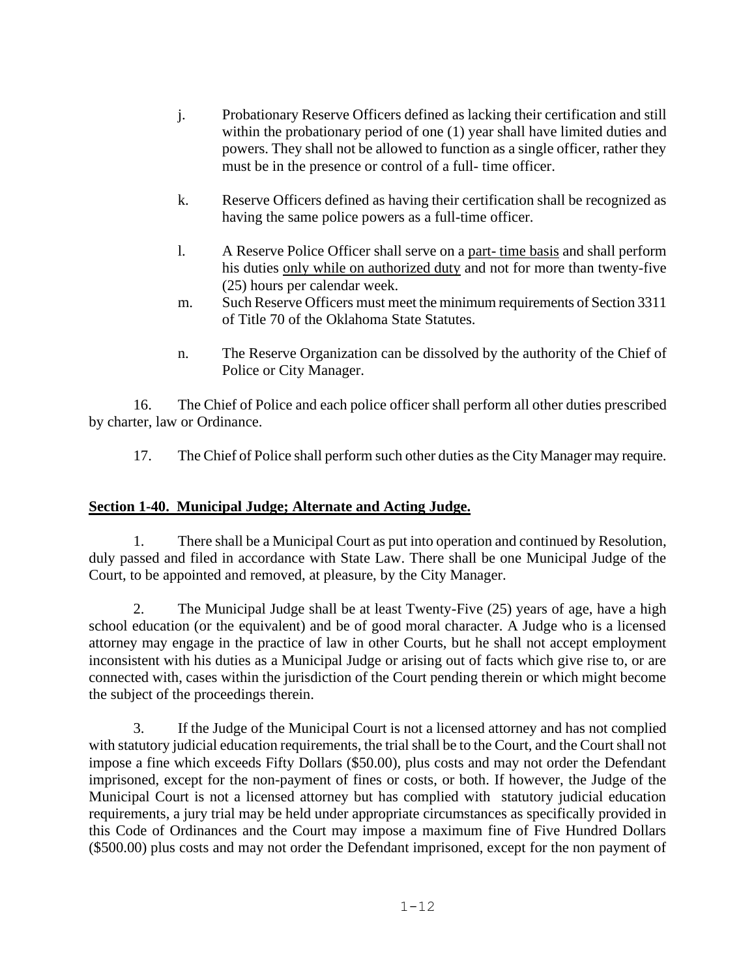- j. Probationary Reserve Officers defined as lacking their certification and still within the probationary period of one (1) year shall have limited duties and powers. They shall not be allowed to function as a single officer, rather they must be in the presence or control of a full- time officer.
- k. Reserve Officers defined as having their certification shall be recognized as having the same police powers as a full-time officer.
- l. A Reserve Police Officer shall serve on a part- time basis and shall perform his duties only while on authorized duty and not for more than twenty-five (25) hours per calendar week.
- m. Such Reserve Officers must meet the minimum requirements of Section 3311 of Title 70 of the Oklahoma State Statutes.
- n. The Reserve Organization can be dissolved by the authority of the Chief of Police or City Manager.

16. The Chief of Police and each police officer shall perform all other duties prescribed by charter, law or Ordinance.

17. The Chief of Police shall perform such other duties as the City Manager may require.

## **Section 1-40. Municipal Judge; Alternate and Acting Judge.**

1. There shall be a Municipal Court as put into operation and continued by Resolution, duly passed and filed in accordance with State Law. There shall be one Municipal Judge of the Court, to be appointed and removed, at pleasure, by the City Manager.

2. The Municipal Judge shall be at least Twenty-Five (25) years of age, have a high school education (or the equivalent) and be of good moral character. A Judge who is a licensed attorney may engage in the practice of law in other Courts, but he shall not accept employment inconsistent with his duties as a Municipal Judge or arising out of facts which give rise to, or are connected with, cases within the jurisdiction of the Court pending therein or which might become the subject of the proceedings therein.

3. If the Judge of the Municipal Court is not a licensed attorney and has not complied with statutory judicial education requirements, the trial shall be to the Court, and the Court shall not impose a fine which exceeds Fifty Dollars (\$50.00), plus costs and may not order the Defendant imprisoned, except for the non-payment of fines or costs, or both. If however, the Judge of the Municipal Court is not a licensed attorney but has complied with statutory judicial education requirements, a jury trial may be held under appropriate circumstances as specifically provided in this Code of Ordinances and the Court may impose a maximum fine of Five Hundred Dollars (\$500.00) plus costs and may not order the Defendant imprisoned, except for the non payment of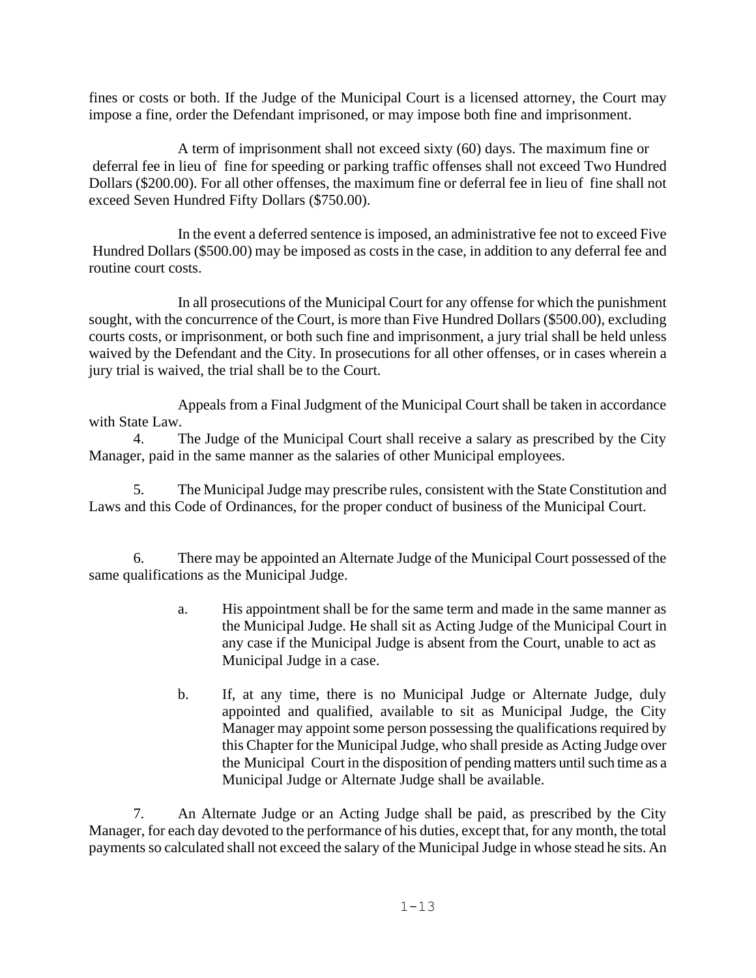fines or costs or both. If the Judge of the Municipal Court is a licensed attorney, the Court may impose a fine, order the Defendant imprisoned, or may impose both fine and imprisonment.

A term of imprisonment shall not exceed sixty (60) days. The maximum fine or deferral fee in lieu of fine for speeding or parking traffic offenses shall not exceed Two Hundred Dollars (\$200.00). For all other offenses, the maximum fine or deferral fee in lieu of fine shall not exceed Seven Hundred Fifty Dollars (\$750.00).

In the event a deferred sentence is imposed, an administrative fee not to exceed Five Hundred Dollars (\$500.00) may be imposed as costs in the case, in addition to any deferral fee and routine court costs.

In all prosecutions of the Municipal Court for any offense for which the punishment sought, with the concurrence of the Court, is more than Five Hundred Dollars (\$500.00), excluding courts costs, or imprisonment, or both such fine and imprisonment, a jury trial shall be held unless waived by the Defendant and the City. In prosecutions for all other offenses, or in cases wherein a jury trial is waived, the trial shall be to the Court.

Appeals from a Final Judgment of the Municipal Court shall be taken in accordance with State Law.

4. The Judge of the Municipal Court shall receive a salary as prescribed by the City Manager, paid in the same manner as the salaries of other Municipal employees.

5. The Municipal Judge may prescribe rules, consistent with the State Constitution and Laws and this Code of Ordinances, for the proper conduct of business of the Municipal Court.

6. There may be appointed an Alternate Judge of the Municipal Court possessed of the same qualifications as the Municipal Judge.

- a. His appointment shall be for the same term and made in the same manner as the Municipal Judge. He shall sit as Acting Judge of the Municipal Court in any case if the Municipal Judge is absent from the Court, unable to act as Municipal Judge in a case.
- b. If, at any time, there is no Municipal Judge or Alternate Judge, duly appointed and qualified, available to sit as Municipal Judge, the City Manager may appoint some person possessing the qualifications required by this Chapter for the Municipal Judge, who shall preside as Acting Judge over the Municipal Court in the disposition of pending matters until such time as a Municipal Judge or Alternate Judge shall be available.

7. An Alternate Judge or an Acting Judge shall be paid, as prescribed by the City Manager, for each day devoted to the performance of his duties, except that, for any month, the total payments so calculated shall not exceed the salary of the Municipal Judge in whose stead he sits. An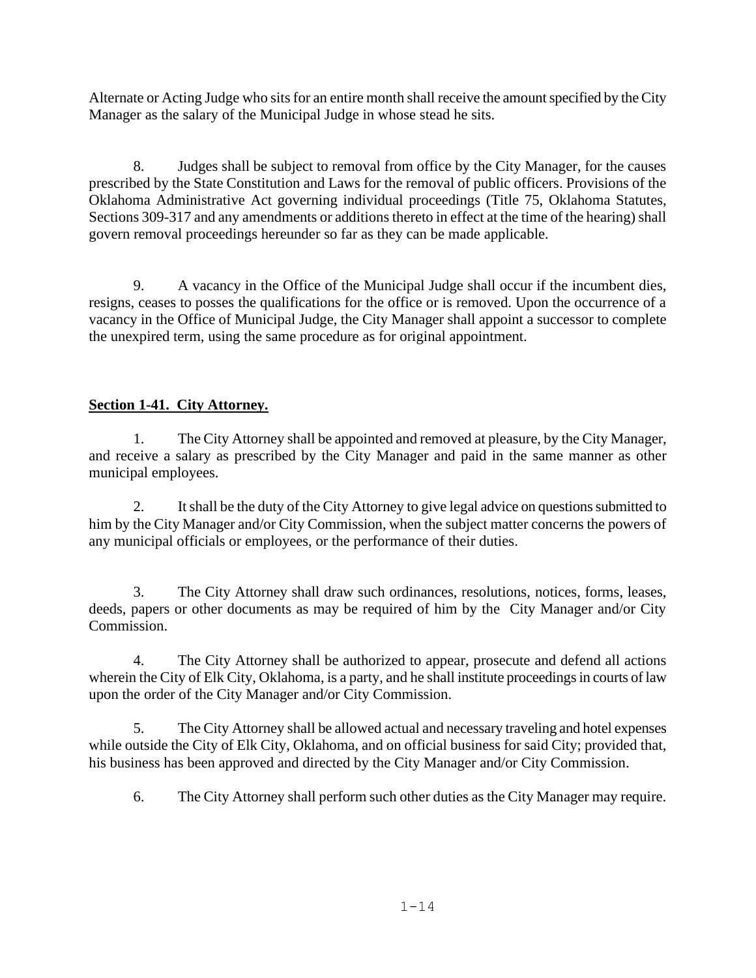Alternate or Acting Judge who sits for an entire month shall receive the amount specified by the City Manager as the salary of the Municipal Judge in whose stead he sits.

8. Judges shall be subject to removal from office by the City Manager, for the causes prescribed by the State Constitution and Laws for the removal of public officers. Provisions of the Oklahoma Administrative Act governing individual proceedings (Title 75, Oklahoma Statutes, Sections 309-317 and any amendments or additions thereto in effect at the time of the hearing) shall govern removal proceedings hereunder so far as they can be made applicable.

9. A vacancy in the Office of the Municipal Judge shall occur if the incumbent dies, resigns, ceases to posses the qualifications for the office or is removed. Upon the occurrence of a vacancy in the Office of Municipal Judge, the City Manager shall appoint a successor to complete the unexpired term, using the same procedure as for original appointment.

## **Section 1-41. City Attorney.**

1. The City Attorney shall be appointed and removed at pleasure, by the City Manager, and receive a salary as prescribed by the City Manager and paid in the same manner as other municipal employees.

2. It shall be the duty of the City Attorney to give legal advice on questions submitted to him by the City Manager and/or City Commission, when the subject matter concerns the powers of any municipal officials or employees, or the performance of their duties.

3. The City Attorney shall draw such ordinances, resolutions, notices, forms, leases, deeds, papers or other documents as may be required of him by the City Manager and/or City Commission.

4. The City Attorney shall be authorized to appear, prosecute and defend all actions wherein the City of Elk City, Oklahoma, is a party, and he shall institute proceedings in courts of law upon the order of the City Manager and/or City Commission.

5. The City Attorney shall be allowed actual and necessary traveling and hotel expenses while outside the City of Elk City, Oklahoma, and on official business for said City; provided that, his business has been approved and directed by the City Manager and/or City Commission.

6. The City Attorney shall perform such other duties as the City Manager may require.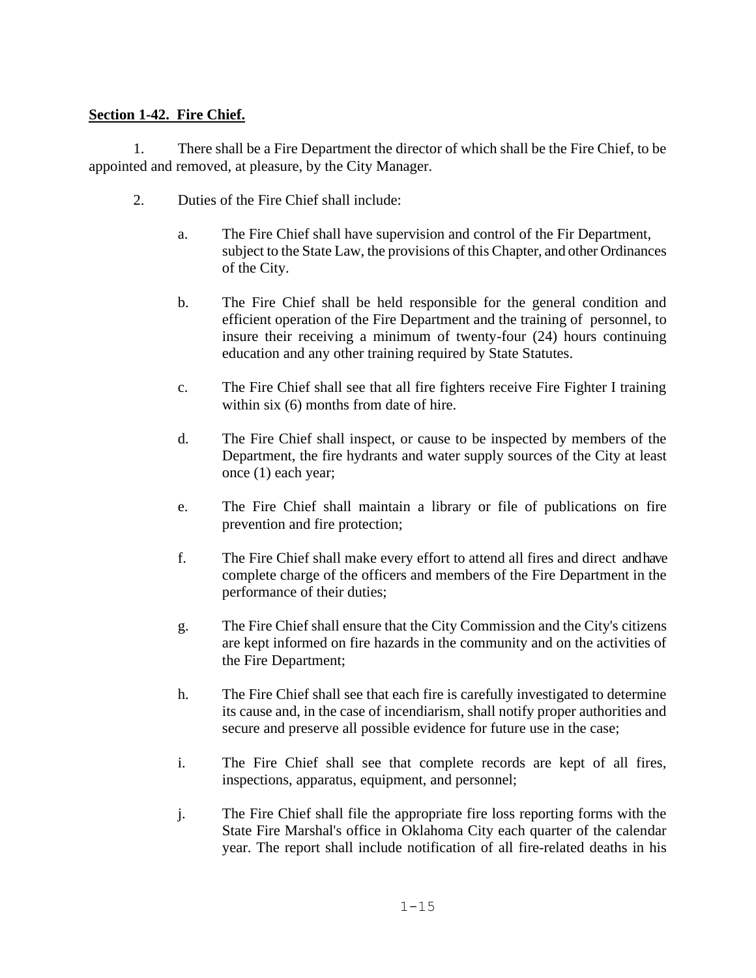## **Section 1-42. Fire Chief.**

1. There shall be a Fire Department the director of which shall be the Fire Chief, to be appointed and removed, at pleasure, by the City Manager.

- 2. Duties of the Fire Chief shall include:
	- a. The Fire Chief shall have supervision and control of the Fir Department, subject to the State Law, the provisions of this Chapter, and other Ordinances of the City.
	- b. The Fire Chief shall be held responsible for the general condition and efficient operation of the Fire Department and the training of personnel, to insure their receiving a minimum of twenty-four (24) hours continuing education and any other training required by State Statutes.
	- c. The Fire Chief shall see that all fire fighters receive Fire Fighter I training within six  $(6)$  months from date of hire.
	- d. The Fire Chief shall inspect, or cause to be inspected by members of the Department, the fire hydrants and water supply sources of the City at least once (1) each year;
	- e. The Fire Chief shall maintain a library or file of publications on fire prevention and fire protection;
	- f. The Fire Chief shall make every effort to attend all fires and direct and have complete charge of the officers and members of the Fire Department in the performance of their duties;
	- g. The Fire Chief shall ensure that the City Commission and the City's citizens are kept informed on fire hazards in the community and on the activities of the Fire Department;
	- h. The Fire Chief shall see that each fire is carefully investigated to determine its cause and, in the case of incendiarism, shall notify proper authorities and secure and preserve all possible evidence for future use in the case;
	- i. The Fire Chief shall see that complete records are kept of all fires, inspections, apparatus, equipment, and personnel;
	- j. The Fire Chief shall file the appropriate fire loss reporting forms with the State Fire Marshal's office in Oklahoma City each quarter of the calendar year. The report shall include notification of all fire-related deaths in his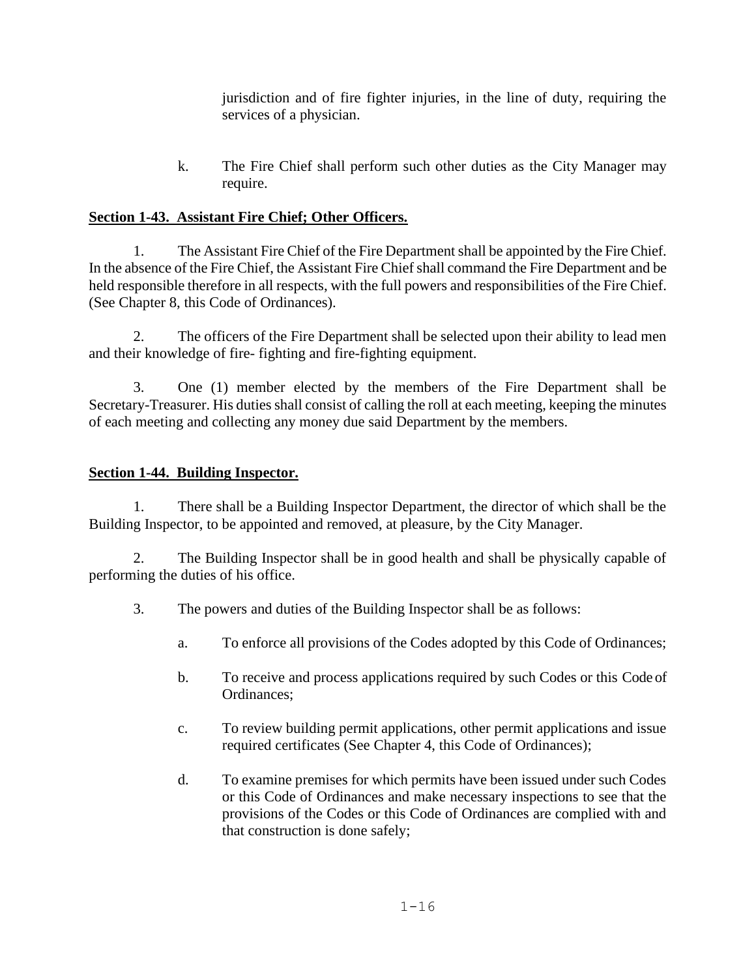jurisdiction and of fire fighter injuries, in the line of duty, requiring the services of a physician.

k. The Fire Chief shall perform such other duties as the City Manager may require.

# **Section 1-43. Assistant Fire Chief; Other Officers.**

1. The Assistant Fire Chief of the Fire Department shall be appointed by the Fire Chief. In the absence of the Fire Chief, the Assistant Fire Chief shall command the Fire Department and be held responsible therefore in all respects, with the full powers and responsibilities of the Fire Chief. (See Chapter 8, this Code of Ordinances).

2. The officers of the Fire Department shall be selected upon their ability to lead men and their knowledge of fire- fighting and fire-fighting equipment.

3. One (1) member elected by the members of the Fire Department shall be Secretary-Treasurer. His duties shall consist of calling the roll at each meeting, keeping the minutes of each meeting and collecting any money due said Department by the members.

## **Section 1-44. Building Inspector.**

1. There shall be a Building Inspector Department, the director of which shall be the Building Inspector, to be appointed and removed, at pleasure, by the City Manager.

2. The Building Inspector shall be in good health and shall be physically capable of performing the duties of his office.

- 3. The powers and duties of the Building Inspector shall be as follows:
	- a. To enforce all provisions of the Codes adopted by this Code of Ordinances;
	- b. To receive and process applications required by such Codes or this Code of Ordinances;
	- c. To review building permit applications, other permit applications and issue required certificates (See Chapter 4, this Code of Ordinances);
	- d. To examine premises for which permits have been issued under such Codes or this Code of Ordinances and make necessary inspections to see that the provisions of the Codes or this Code of Ordinances are complied with and that construction is done safely;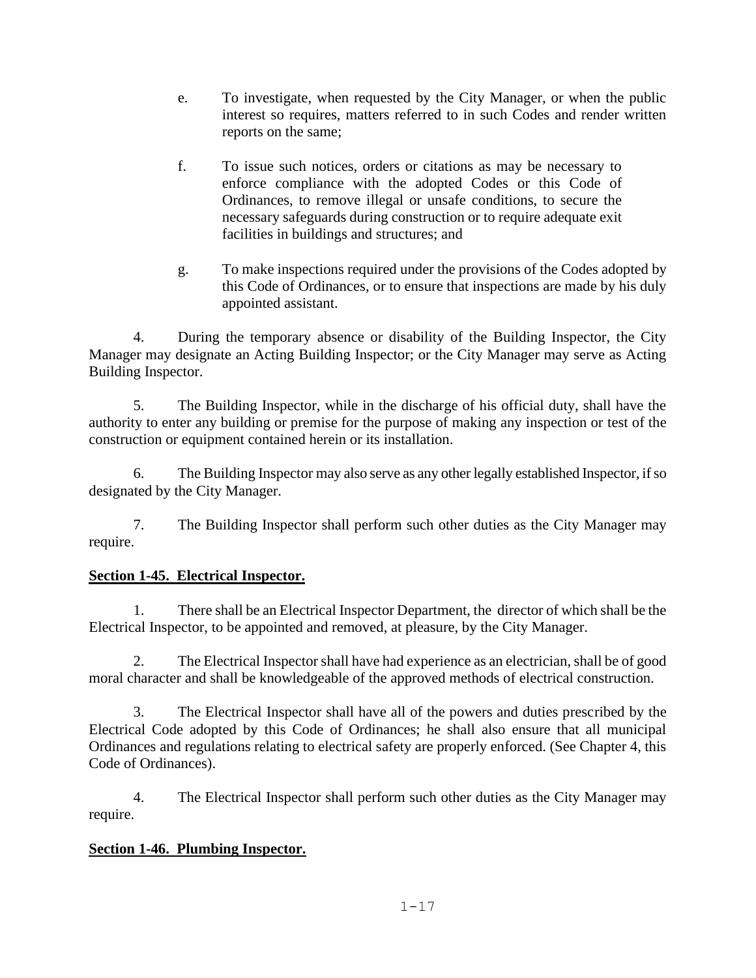- e. To investigate, when requested by the City Manager, or when the public interest so requires, matters referred to in such Codes and render written reports on the same;
- f. To issue such notices, orders or citations as may be necessary to enforce compliance with the adopted Codes or this Code of Ordinances, to remove illegal or unsafe conditions, to secure the necessary safeguards during construction or to require adequate exit facilities in buildings and structures; and
- g. To make inspections required under the provisions of the Codes adopted by this Code of Ordinances, or to ensure that inspections are made by his duly appointed assistant.

4. During the temporary absence or disability of the Building Inspector, the City Manager may designate an Acting Building Inspector; or the City Manager may serve as Acting Building Inspector.

5. The Building Inspector, while in the discharge of his official duty, shall have the authority to enter any building or premise for the purpose of making any inspection or test of the construction or equipment contained herein or its installation.

6. The Building Inspector may also serve as any other legally established Inspector, if so designated by the City Manager.

7. The Building Inspector shall perform such other duties as the City Manager may require.

# **Section 1-45. Electrical Inspector.**

1. There shall be an Electrical Inspector Department, the director of which shall be the Electrical Inspector, to be appointed and removed, at pleasure, by the City Manager.

2. The Electrical Inspector shall have had experience as an electrician, shall be of good moral character and shall be knowledgeable of the approved methods of electrical construction.

3. The Electrical Inspector shall have all of the powers and duties prescribed by the Electrical Code adopted by this Code of Ordinances; he shall also ensure that all municipal Ordinances and regulations relating to electrical safety are properly enforced. (See Chapter 4, this Code of Ordinances).

4. The Electrical Inspector shall perform such other duties as the City Manager may require.

# **Section 1-46. Plumbing Inspector.**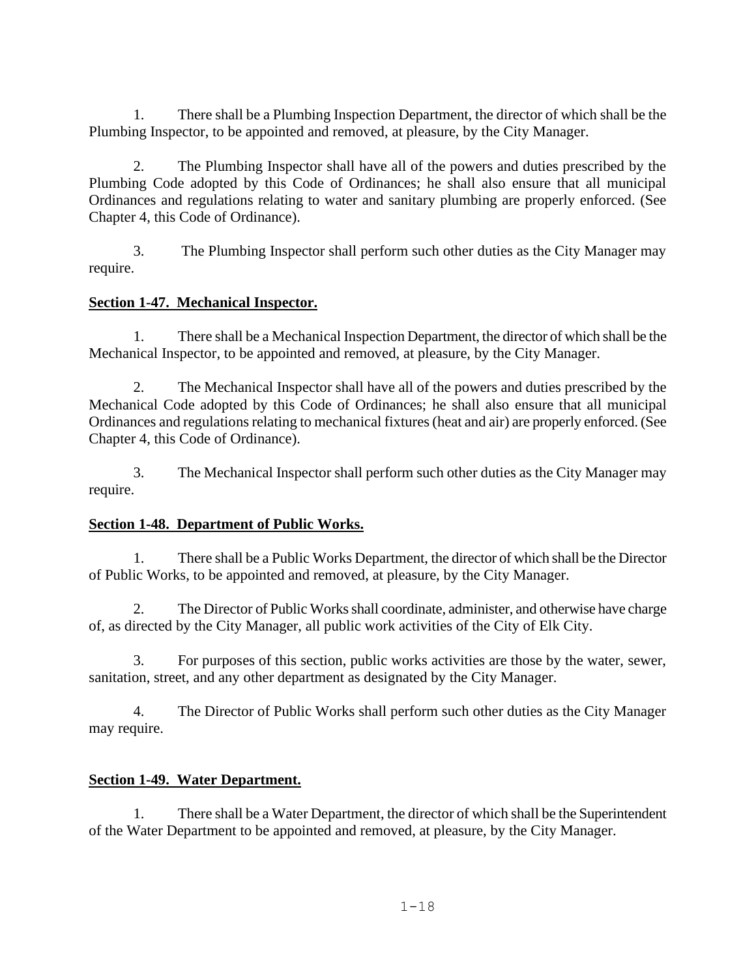1. There shall be a Plumbing Inspection Department, the director of which shall be the Plumbing Inspector, to be appointed and removed, at pleasure, by the City Manager.

2. The Plumbing Inspector shall have all of the powers and duties prescribed by the Plumbing Code adopted by this Code of Ordinances; he shall also ensure that all municipal Ordinances and regulations relating to water and sanitary plumbing are properly enforced. (See Chapter 4, this Code of Ordinance).

3. The Plumbing Inspector shall perform such other duties as the City Manager may require.

# **Section 1-47. Mechanical Inspector.**

1. There shall be a Mechanical Inspection Department, the director of which shall be the Mechanical Inspector, to be appointed and removed, at pleasure, by the City Manager.

2. The Mechanical Inspector shall have all of the powers and duties prescribed by the Mechanical Code adopted by this Code of Ordinances; he shall also ensure that all municipal Ordinances and regulations relating to mechanical fixtures (heat and air) are properly enforced. (See Chapter 4, this Code of Ordinance).

3. The Mechanical Inspector shall perform such other duties as the City Manager may require.

## **Section 1-48. Department of Public Works.**

1. There shall be a Public Works Department, the director of which shall be the Director of Public Works, to be appointed and removed, at pleasure, by the City Manager.

2. The Director of Public Works shall coordinate, administer, and otherwise have charge of, as directed by the City Manager, all public work activities of the City of Elk City.

3. For purposes of this section, public works activities are those by the water, sewer, sanitation, street, and any other department as designated by the City Manager.

4. The Director of Public Works shall perform such other duties as the City Manager may require.

## **Section 1-49. Water Department.**

1. There shall be a Water Department, the director of which shall be the Superintendent of the Water Department to be appointed and removed, at pleasure, by the City Manager.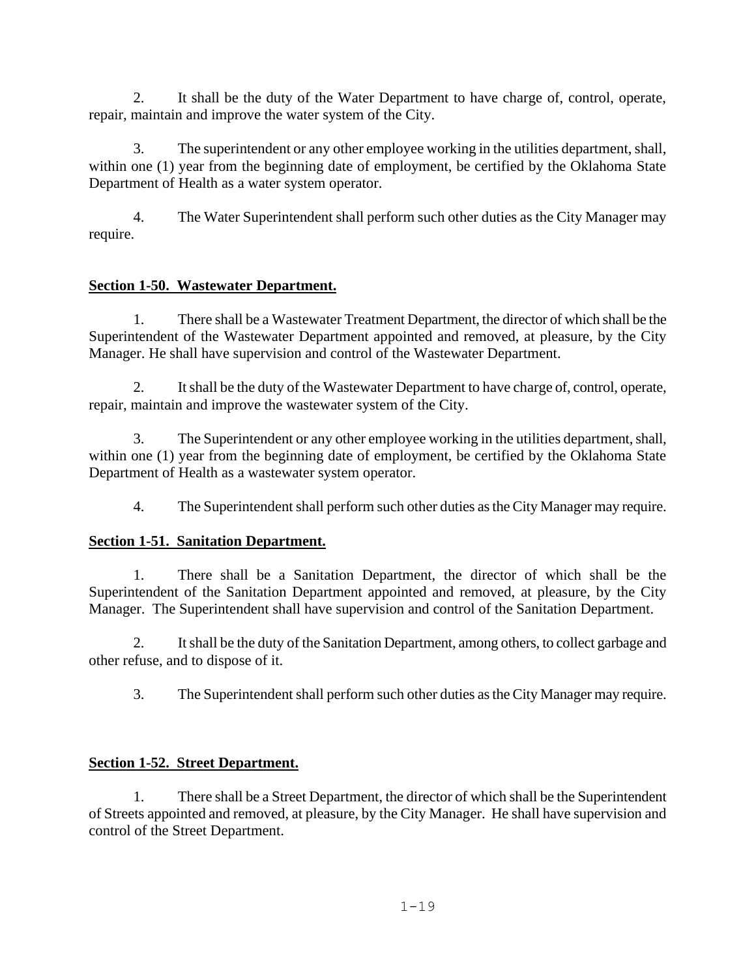2. It shall be the duty of the Water Department to have charge of, control, operate, repair, maintain and improve the water system of the City.

3. The superintendent or any other employee working in the utilities department, shall, within one (1) year from the beginning date of employment, be certified by the Oklahoma State Department of Health as a water system operator.

4. The Water Superintendent shall perform such other duties as the City Manager may require.

# **Section 1-50. Wastewater Department.**

1. There shall be a Wastewater Treatment Department, the director of which shall be the Superintendent of the Wastewater Department appointed and removed, at pleasure, by the City Manager. He shall have supervision and control of the Wastewater Department.

It shall be the duty of the Wastewater Department to have charge of, control, operate, repair, maintain and improve the wastewater system of the City.

3. The Superintendent or any other employee working in the utilities department, shall, within one (1) year from the beginning date of employment, be certified by the Oklahoma State Department of Health as a wastewater system operator.

4. The Superintendent shall perform such other duties as the City Manager may require.

# **Section 1-51. Sanitation Department.**

1. There shall be a Sanitation Department, the director of which shall be the Superintendent of the Sanitation Department appointed and removed, at pleasure, by the City Manager. The Superintendent shall have supervision and control of the Sanitation Department.

2. It shall be the duty of the Sanitation Department, among others, to collect garbage and other refuse, and to dispose of it.

3. The Superintendent shall perform such other duties as the City Manager may require.

# **Section 1-52. Street Department.**

1. There shall be a Street Department, the director of which shall be the Superintendent of Streets appointed and removed, at pleasure, by the City Manager. He shall have supervision and control of the Street Department.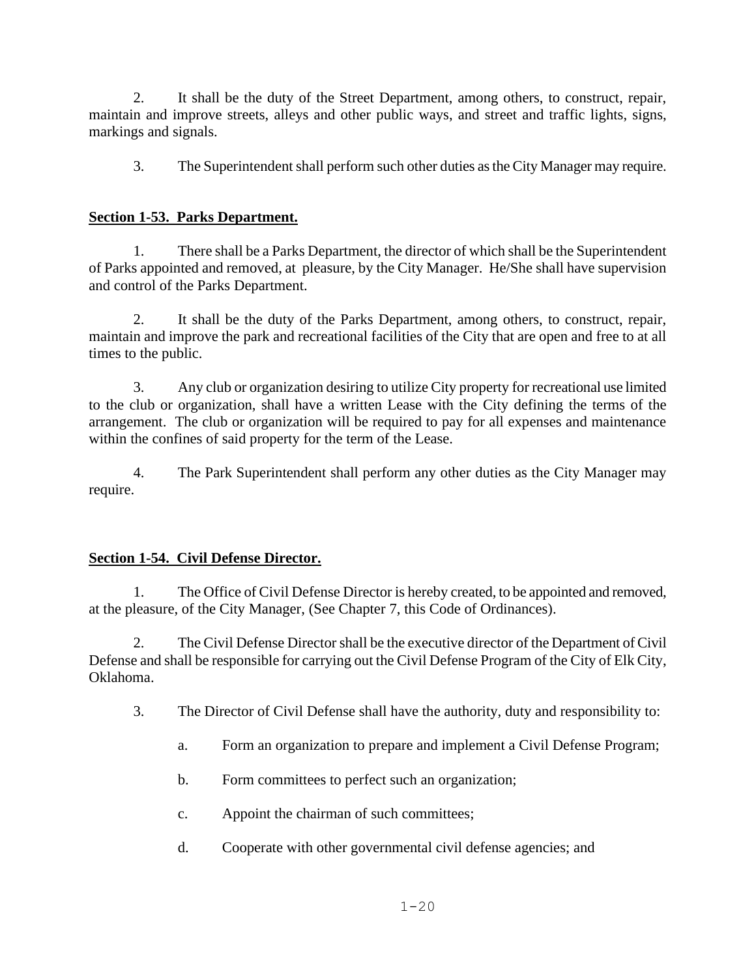2. It shall be the duty of the Street Department, among others, to construct, repair, maintain and improve streets, alleys and other public ways, and street and traffic lights, signs, markings and signals.

3. The Superintendent shall perform such other duties as the City Manager may require.

## **Section 1-53. Parks Department.**

1. There shall be a Parks Department, the director of which shall be the Superintendent of Parks appointed and removed, at pleasure, by the City Manager. He/She shall have supervision and control of the Parks Department.

2. It shall be the duty of the Parks Department, among others, to construct, repair, maintain and improve the park and recreational facilities of the City that are open and free to at all times to the public.

3. Any club or organization desiring to utilize City property for recreational use limited to the club or organization, shall have a written Lease with the City defining the terms of the arrangement. The club or organization will be required to pay for all expenses and maintenance within the confines of said property for the term of the Lease.

4. The Park Superintendent shall perform any other duties as the City Manager may require.

## **Section 1-54. Civil Defense Director.**

1. The Office of Civil Defense Director is hereby created, to be appointed and removed, at the pleasure, of the City Manager, (See Chapter 7, this Code of Ordinances).

2. The Civil Defense Director shall be the executive director of the Department of Civil Defense and shall be responsible for carrying out the Civil Defense Program of the City of Elk City, Oklahoma.

3. The Director of Civil Defense shall have the authority, duty and responsibility to:

- a. Form an organization to prepare and implement a Civil Defense Program;
- b. Form committees to perfect such an organization;
- c. Appoint the chairman of such committees;
- d. Cooperate with other governmental civil defense agencies; and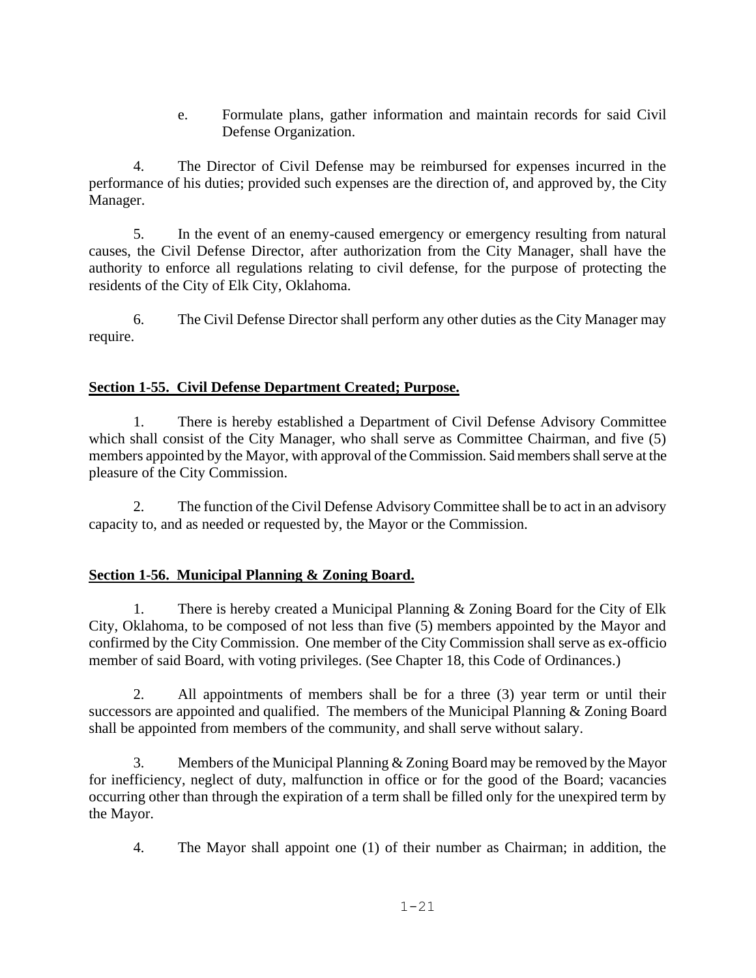e. Formulate plans, gather information and maintain records for said Civil Defense Organization.

4. The Director of Civil Defense may be reimbursed for expenses incurred in the performance of his duties; provided such expenses are the direction of, and approved by, the City Manager.

5. In the event of an enemy-caused emergency or emergency resulting from natural causes, the Civil Defense Director, after authorization from the City Manager, shall have the authority to enforce all regulations relating to civil defense, for the purpose of protecting the residents of the City of Elk City, Oklahoma.

6. The Civil Defense Director shall perform any other duties as the City Manager may require.

# **Section 1-55. Civil Defense Department Created; Purpose.**

1. There is hereby established a Department of Civil Defense Advisory Committee which shall consist of the City Manager, who shall serve as Committee Chairman, and five (5) members appointed by the Mayor, with approval of the Commission. Said members shall serve at the pleasure of the City Commission.

2. The function of the Civil Defense Advisory Committee shall be to act in an advisory capacity to, and as needed or requested by, the Mayor or the Commission.

# **Section 1-56. Municipal Planning & Zoning Board.**

1. There is hereby created a Municipal Planning & Zoning Board for the City of Elk City, Oklahoma, to be composed of not less than five (5) members appointed by the Mayor and confirmed by the City Commission. One member of the City Commission shall serve as ex-officio member of said Board, with voting privileges. (See Chapter 18, this Code of Ordinances.)

2. All appointments of members shall be for a three (3) year term or until their successors are appointed and qualified. The members of the Municipal Planning & Zoning Board shall be appointed from members of the community, and shall serve without salary.

3. Members of the Municipal Planning & Zoning Board may be removed by the Mayor for inefficiency, neglect of duty, malfunction in office or for the good of the Board; vacancies occurring other than through the expiration of a term shall be filled only for the unexpired term by the Mayor.

4. The Mayor shall appoint one (1) of their number as Chairman; in addition, the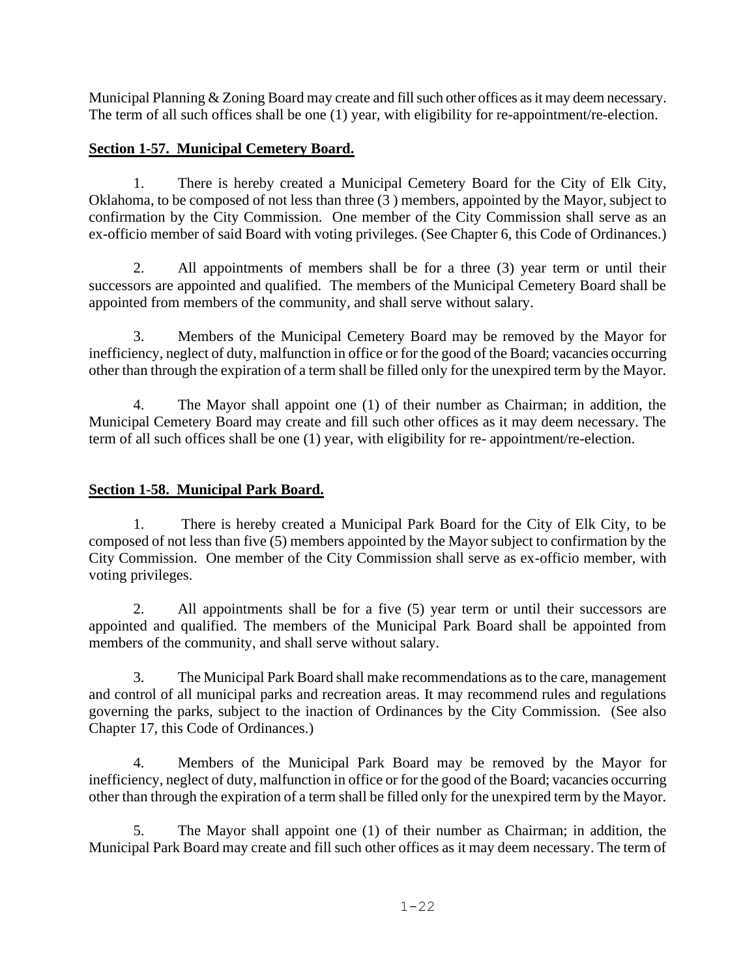Municipal Planning & Zoning Board may create and fill such other offices as it may deem necessary. The term of all such offices shall be one (1) year, with eligibility for re-appointment/re-election.

## **Section 1-57. Municipal Cemetery Board.**

1. There is hereby created a Municipal Cemetery Board for the City of Elk City, Oklahoma, to be composed of not less than three (3 ) members, appointed by the Mayor, subject to confirmation by the City Commission. One member of the City Commission shall serve as an ex-officio member of said Board with voting privileges. (See Chapter 6, this Code of Ordinances.)

2. All appointments of members shall be for a three (3) year term or until their successors are appointed and qualified. The members of the Municipal Cemetery Board shall be appointed from members of the community, and shall serve without salary.

3. Members of the Municipal Cemetery Board may be removed by the Mayor for inefficiency, neglect of duty, malfunction in office or for the good of the Board; vacancies occurring other than through the expiration of a term shall be filled only for the unexpired term by the Mayor.

4. The Mayor shall appoint one (1) of their number as Chairman; in addition, the Municipal Cemetery Board may create and fill such other offices as it may deem necessary. The term of all such offices shall be one (1) year, with eligibility for re- appointment/re-election.

## **Section 1-58. Municipal Park Board.**

1. There is hereby created a Municipal Park Board for the City of Elk City, to be composed of not less than five (5) members appointed by the Mayor subject to confirmation by the City Commission. One member of the City Commission shall serve as ex-officio member, with voting privileges.

2. All appointments shall be for a five (5) year term or until their successors are appointed and qualified. The members of the Municipal Park Board shall be appointed from members of the community, and shall serve without salary.

3. The Municipal Park Board shall make recommendations as to the care, management and control of all municipal parks and recreation areas. It may recommend rules and regulations governing the parks, subject to the inaction of Ordinances by the City Commission. (See also Chapter 17, this Code of Ordinances.)

4. Members of the Municipal Park Board may be removed by the Mayor for inefficiency, neglect of duty, malfunction in office or for the good of the Board; vacancies occurring other than through the expiration of a term shall be filled only for the unexpired term by the Mayor.

5. The Mayor shall appoint one (1) of their number as Chairman; in addition, the Municipal Park Board may create and fill such other offices as it may deem necessary. The term of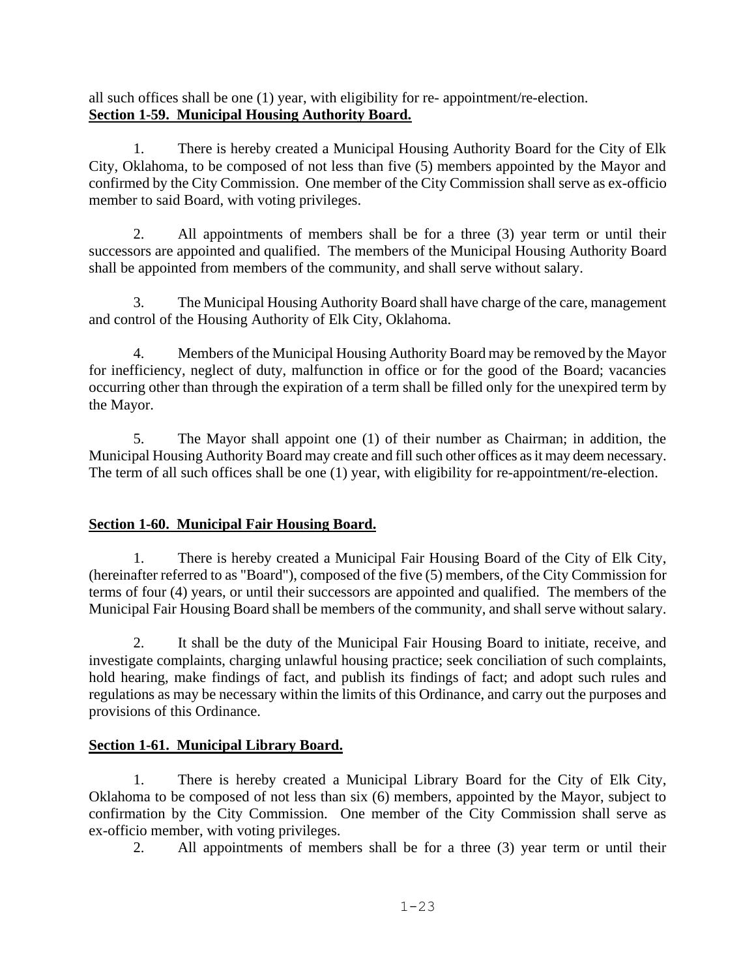all such offices shall be one (1) year, with eligibility for re- appointment/re-election. **Section 1-59. Municipal Housing Authority Board.**

1. There is hereby created a Municipal Housing Authority Board for the City of Elk City, Oklahoma, to be composed of not less than five (5) members appointed by the Mayor and confirmed by the City Commission. One member of the City Commission shall serve as ex-officio member to said Board, with voting privileges.

2. All appointments of members shall be for a three (3) year term or until their successors are appointed and qualified. The members of the Municipal Housing Authority Board shall be appointed from members of the community, and shall serve without salary.

3. The Municipal Housing Authority Board shall have charge of the care, management and control of the Housing Authority of Elk City, Oklahoma.

4. Members of the Municipal Housing Authority Board may be removed by the Mayor for inefficiency, neglect of duty, malfunction in office or for the good of the Board; vacancies occurring other than through the expiration of a term shall be filled only for the unexpired term by the Mayor.

5. The Mayor shall appoint one (1) of their number as Chairman; in addition, the Municipal Housing Authority Board may create and fill such other offices as it may deem necessary. The term of all such offices shall be one (1) year, with eligibility for re-appointment/re-election.

# **Section 1-60. Municipal Fair Housing Board.**

1. There is hereby created a Municipal Fair Housing Board of the City of Elk City, (hereinafter referred to as "Board"), composed of the five (5) members, of the City Commission for terms of four (4) years, or until their successors are appointed and qualified. The members of the Municipal Fair Housing Board shall be members of the community, and shall serve without salary.

2. It shall be the duty of the Municipal Fair Housing Board to initiate, receive, and investigate complaints, charging unlawful housing practice; seek conciliation of such complaints, hold hearing, make findings of fact, and publish its findings of fact; and adopt such rules and regulations as may be necessary within the limits of this Ordinance, and carry out the purposes and provisions of this Ordinance.

# **Section 1-61. Municipal Library Board.**

1. There is hereby created a Municipal Library Board for the City of Elk City, Oklahoma to be composed of not less than six (6) members, appointed by the Mayor, subject to confirmation by the City Commission. One member of the City Commission shall serve as ex-officio member, with voting privileges.

2. All appointments of members shall be for a three (3) year term or until their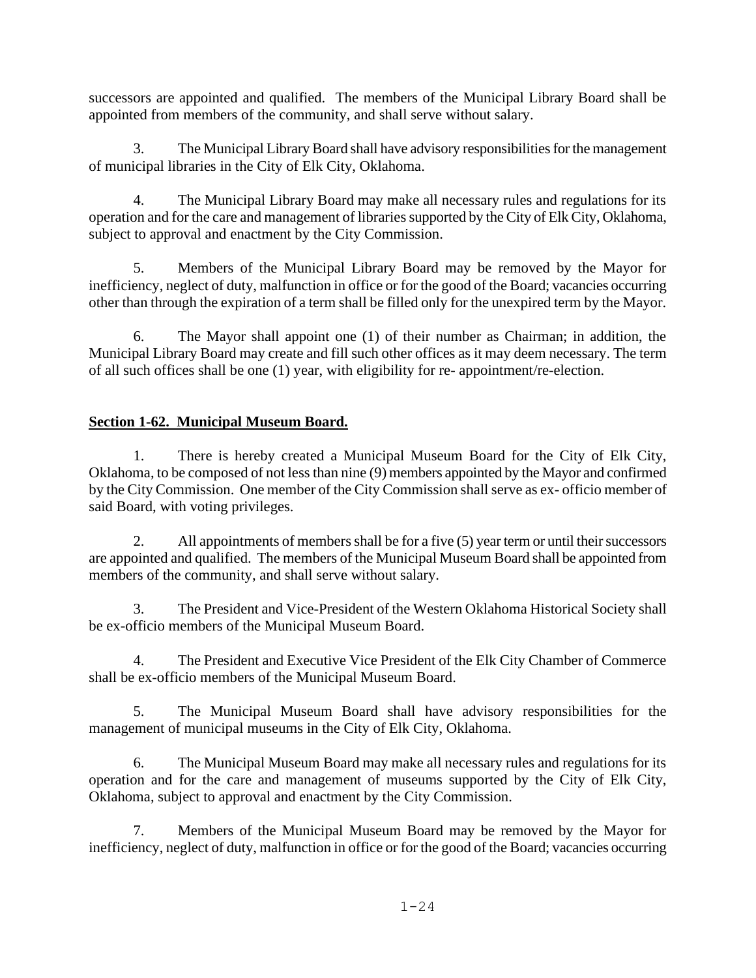successors are appointed and qualified. The members of the Municipal Library Board shall be appointed from members of the community, and shall serve without salary.

3. The Municipal Library Board shall have advisory responsibilities for the management of municipal libraries in the City of Elk City, Oklahoma.

4. The Municipal Library Board may make all necessary rules and regulations for its operation and for the care and management of libraries supported by the City of Elk City, Oklahoma, subject to approval and enactment by the City Commission.

5. Members of the Municipal Library Board may be removed by the Mayor for inefficiency, neglect of duty, malfunction in office or for the good of the Board; vacancies occurring other than through the expiration of a term shall be filled only for the unexpired term by the Mayor.

6. The Mayor shall appoint one (1) of their number as Chairman; in addition, the Municipal Library Board may create and fill such other offices as it may deem necessary. The term of all such offices shall be one (1) year, with eligibility for re- appointment/re-election.

# **Section 1-62. Municipal Museum Board.**

1. There is hereby created a Municipal Museum Board for the City of Elk City, Oklahoma, to be composed of not less than nine (9) members appointed by the Mayor and confirmed by the City Commission. One member of the City Commission shall serve as ex- officio member of said Board, with voting privileges.

2. All appointments of members shall be for a five (5) year term or until their successors are appointed and qualified. The members of the Municipal Museum Board shall be appointed from members of the community, and shall serve without salary.

3. The President and Vice-President of the Western Oklahoma Historical Society shall be ex-officio members of the Municipal Museum Board.

4. The President and Executive Vice President of the Elk City Chamber of Commerce shall be ex-officio members of the Municipal Museum Board.

5. The Municipal Museum Board shall have advisory responsibilities for the management of municipal museums in the City of Elk City, Oklahoma.

6. The Municipal Museum Board may make all necessary rules and regulations for its operation and for the care and management of museums supported by the City of Elk City, Oklahoma, subject to approval and enactment by the City Commission.

7. Members of the Municipal Museum Board may be removed by the Mayor for inefficiency, neglect of duty, malfunction in office or for the good of the Board; vacancies occurring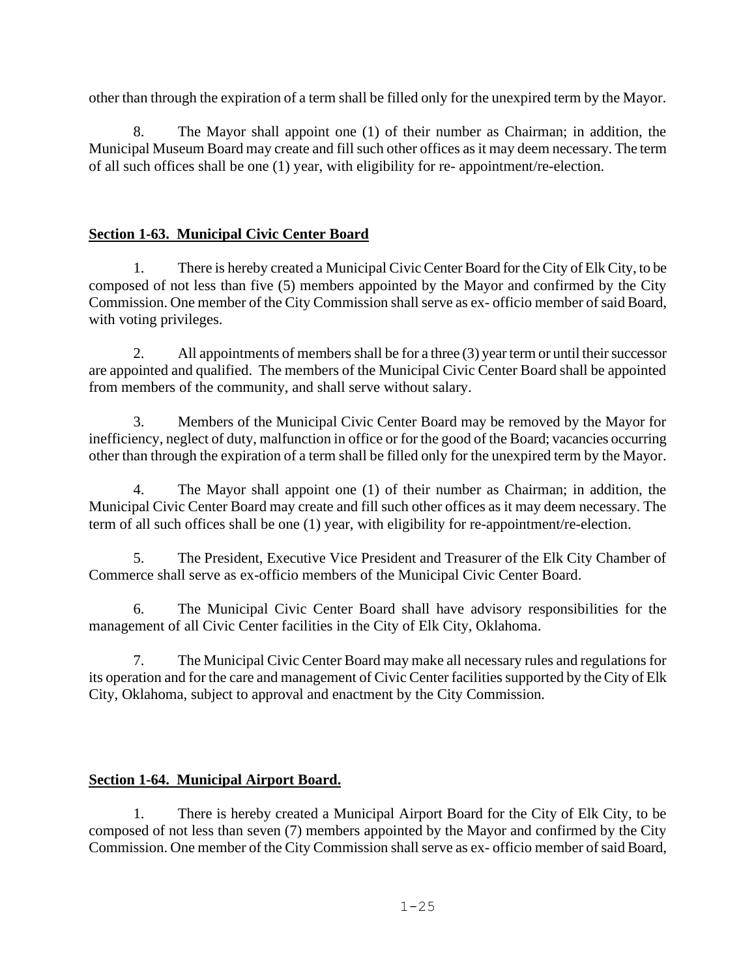other than through the expiration of a term shall be filled only for the unexpired term by the Mayor.

8. The Mayor shall appoint one (1) of their number as Chairman; in addition, the Municipal Museum Board may create and fill such other offices as it may deem necessary. The term of all such offices shall be one (1) year, with eligibility for re- appointment/re-election.

# **Section 1-63. Municipal Civic Center Board**

1. There is hereby created a Municipal Civic Center Board for the City of Elk City, to be composed of not less than five (5) members appointed by the Mayor and confirmed by the City Commission. One member of the City Commission shall serve as ex- officio member of said Board, with voting privileges.

2. All appointments of members shall be for a three (3) year term or until their successor are appointed and qualified. The members of the Municipal Civic Center Board shall be appointed from members of the community, and shall serve without salary.

3. Members of the Municipal Civic Center Board may be removed by the Mayor for inefficiency, neglect of duty, malfunction in office or for the good of the Board; vacancies occurring other than through the expiration of a term shall be filled only for the unexpired term by the Mayor.

4. The Mayor shall appoint one (1) of their number as Chairman; in addition, the Municipal Civic Center Board may create and fill such other offices as it may deem necessary. The term of all such offices shall be one (1) year, with eligibility for re-appointment/re-election.

5. The President, Executive Vice President and Treasurer of the Elk City Chamber of Commerce shall serve as ex-officio members of the Municipal Civic Center Board.

6. The Municipal Civic Center Board shall have advisory responsibilities for the management of all Civic Center facilities in the City of Elk City, Oklahoma.

7. The Municipal Civic Center Board may make all necessary rules and regulations for its operation and for the care and management of Civic Center facilities supported by the City of Elk City, Oklahoma, subject to approval and enactment by the City Commission.

## **Section 1-64. Municipal Airport Board.**

1. There is hereby created a Municipal Airport Board for the City of Elk City, to be composed of not less than seven (7) members appointed by the Mayor and confirmed by the City Commission. One member of the City Commission shall serve as ex- officio member of said Board,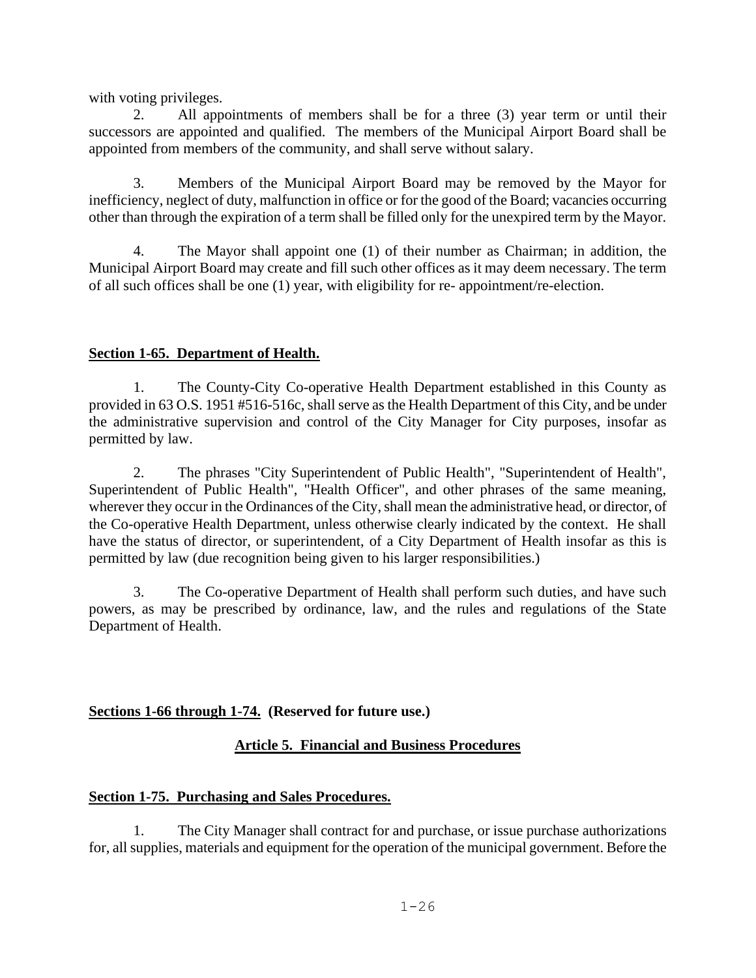with voting privileges.

All appointments of members shall be for a three (3) year term or until their successors are appointed and qualified. The members of the Municipal Airport Board shall be appointed from members of the community, and shall serve without salary.

3. Members of the Municipal Airport Board may be removed by the Mayor for inefficiency, neglect of duty, malfunction in office or for the good of the Board; vacancies occurring other than through the expiration of a term shall be filled only for the unexpired term by the Mayor.

4. The Mayor shall appoint one (1) of their number as Chairman; in addition, the Municipal Airport Board may create and fill such other offices as it may deem necessary. The term of all such offices shall be one (1) year, with eligibility for re- appointment/re-election.

## **Section 1-65. Department of Health.**

1. The County-City Co-operative Health Department established in this County as provided in 63 O.S. 1951 #516-516c, shall serve as the Health Department of this City, and be under the administrative supervision and control of the City Manager for City purposes, insofar as permitted by law.

2. The phrases "City Superintendent of Public Health", "Superintendent of Health", Superintendent of Public Health", "Health Officer", and other phrases of the same meaning, wherever they occur in the Ordinances of the City, shall mean the administrative head, or director, of the Co-operative Health Department, unless otherwise clearly indicated by the context. He shall have the status of director, or superintendent, of a City Department of Health insofar as this is permitted by law (due recognition being given to his larger responsibilities.)

3. The Co-operative Department of Health shall perform such duties, and have such powers, as may be prescribed by ordinance, law, and the rules and regulations of the State Department of Health.

## **Sections 1-66 through 1-74. (Reserved for future use.)**

## **Article 5. Financial and Business Procedures**

## **Section 1-75. Purchasing and Sales Procedures.**

1. The City Manager shall contract for and purchase, or issue purchase authorizations for, all supplies, materials and equipment for the operation of the municipal government. Before the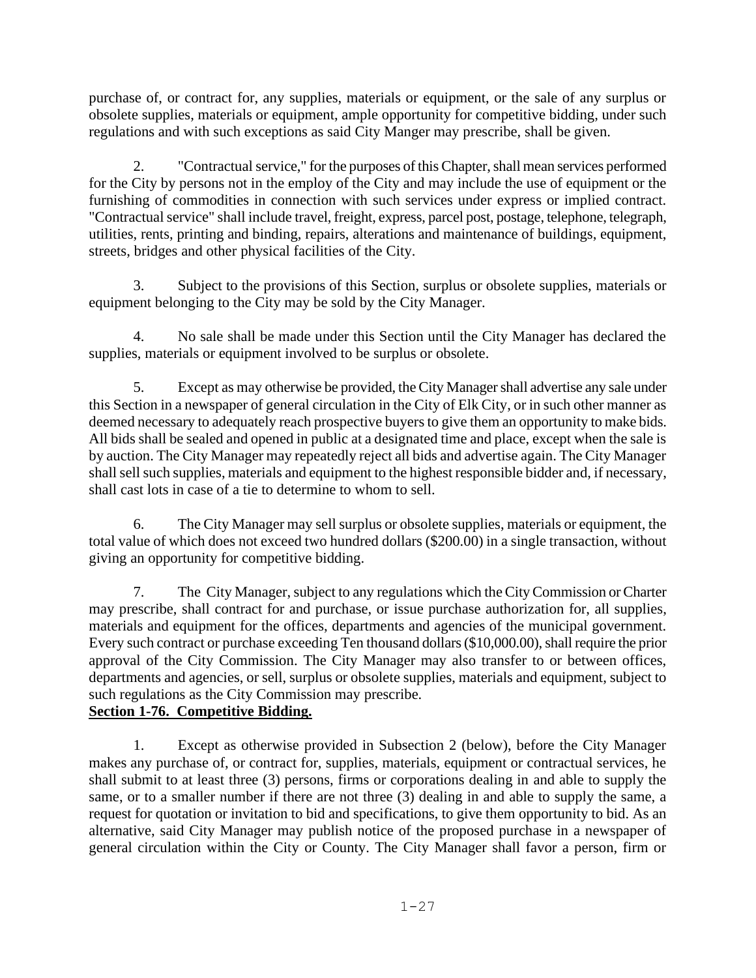purchase of, or contract for, any supplies, materials or equipment, or the sale of any surplus or obsolete supplies, materials or equipment, ample opportunity for competitive bidding, under such regulations and with such exceptions as said City Manger may prescribe, shall be given.

2. "Contractual service," for the purposes of this Chapter, shall mean services performed for the City by persons not in the employ of the City and may include the use of equipment or the furnishing of commodities in connection with such services under express or implied contract. "Contractual service" shall include travel, freight, express, parcel post, postage, telephone, telegraph, utilities, rents, printing and binding, repairs, alterations and maintenance of buildings, equipment, streets, bridges and other physical facilities of the City.

3. Subject to the provisions of this Section, surplus or obsolete supplies, materials or equipment belonging to the City may be sold by the City Manager.

4. No sale shall be made under this Section until the City Manager has declared the supplies, materials or equipment involved to be surplus or obsolete.

5. Except as may otherwise be provided, the City Manager shall advertise any sale under this Section in a newspaper of general circulation in the City of Elk City, or in such other manner as deemed necessary to adequately reach prospective buyers to give them an opportunity to make bids. All bids shall be sealed and opened in public at a designated time and place, except when the sale is by auction. The City Manager may repeatedly reject all bids and advertise again. The City Manager shall sell such supplies, materials and equipment to the highest responsible bidder and, if necessary, shall cast lots in case of a tie to determine to whom to sell.

6. The City Manager may sell surplus or obsolete supplies, materials or equipment, the total value of which does not exceed two hundred dollars (\$200.00) in a single transaction, without giving an opportunity for competitive bidding.

7. The City Manager, subject to any regulations which the City Commission or Charter may prescribe, shall contract for and purchase, or issue purchase authorization for, all supplies, materials and equipment for the offices, departments and agencies of the municipal government. Every such contract or purchase exceeding Ten thousand dollars (\$10,000.00), shall require the prior approval of the City Commission. The City Manager may also transfer to or between offices, departments and agencies, or sell, surplus or obsolete supplies, materials and equipment, subject to such regulations as the City Commission may prescribe.

# **Section 1-76. Competitive Bidding.**

1. Except as otherwise provided in Subsection 2 (below), before the City Manager makes any purchase of, or contract for, supplies, materials, equipment or contractual services, he shall submit to at least three (3) persons, firms or corporations dealing in and able to supply the same, or to a smaller number if there are not three (3) dealing in and able to supply the same, a request for quotation or invitation to bid and specifications, to give them opportunity to bid. As an alternative, said City Manager may publish notice of the proposed purchase in a newspaper of general circulation within the City or County. The City Manager shall favor a person, firm or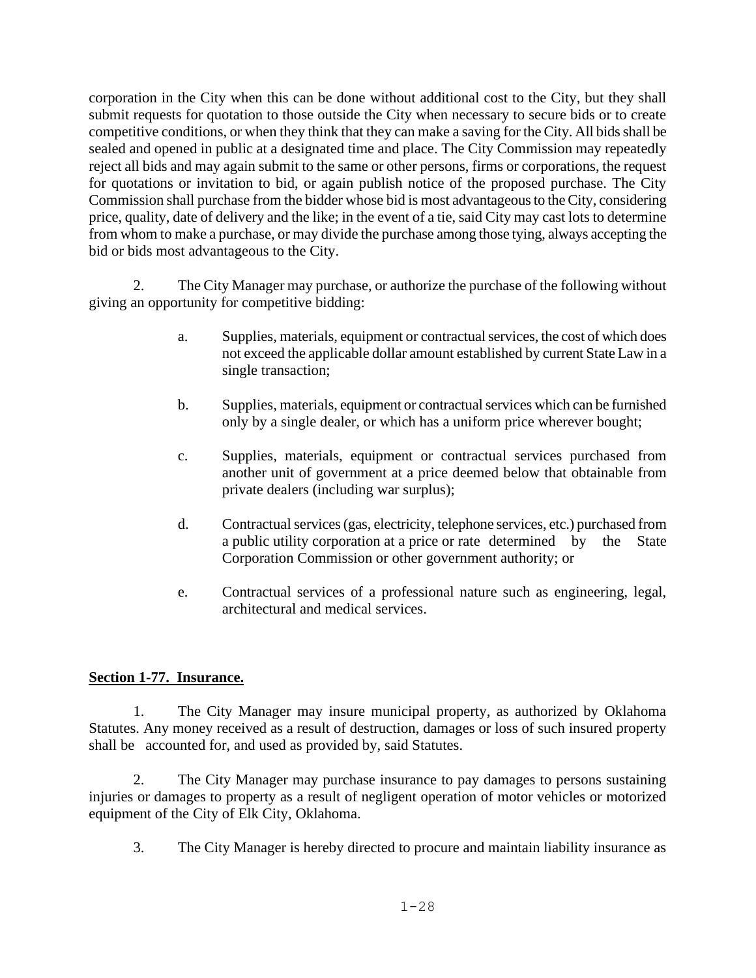corporation in the City when this can be done without additional cost to the City, but they shall submit requests for quotation to those outside the City when necessary to secure bids or to create competitive conditions, or when they think that they can make a saving for the City. All bids shall be sealed and opened in public at a designated time and place. The City Commission may repeatedly reject all bids and may again submit to the same or other persons, firms or corporations, the request for quotations or invitation to bid, or again publish notice of the proposed purchase. The City Commission shall purchase from the bidder whose bid is most advantageous to the City, considering price, quality, date of delivery and the like; in the event of a tie, said City may cast lots to determine from whom to make a purchase, or may divide the purchase among those tying, always accepting the bid or bids most advantageous to the City.

2. The City Manager may purchase, or authorize the purchase of the following without giving an opportunity for competitive bidding:

- a. Supplies, materials, equipment or contractual services, the cost of which does not exceed the applicable dollar amount established by current State Law in a single transaction;
- b. Supplies, materials, equipment or contractual services which can be furnished only by a single dealer, or which has a uniform price wherever bought;
- c. Supplies, materials, equipment or contractual services purchased from another unit of government at a price deemed below that obtainable from private dealers (including war surplus);
- d. Contractual services (gas, electricity, telephone services, etc.) purchased from a public utility corporation at a price or rate determined by the State Corporation Commission or other government authority; or
- e. Contractual services of a professional nature such as engineering, legal, architectural and medical services.

## **Section 1-77. Insurance.**

1. The City Manager may insure municipal property, as authorized by Oklahoma Statutes. Any money received as a result of destruction, damages or loss of such insured property shall be accounted for, and used as provided by, said Statutes.

2. The City Manager may purchase insurance to pay damages to persons sustaining injuries or damages to property as a result of negligent operation of motor vehicles or motorized equipment of the City of Elk City, Oklahoma.

3. The City Manager is hereby directed to procure and maintain liability insurance as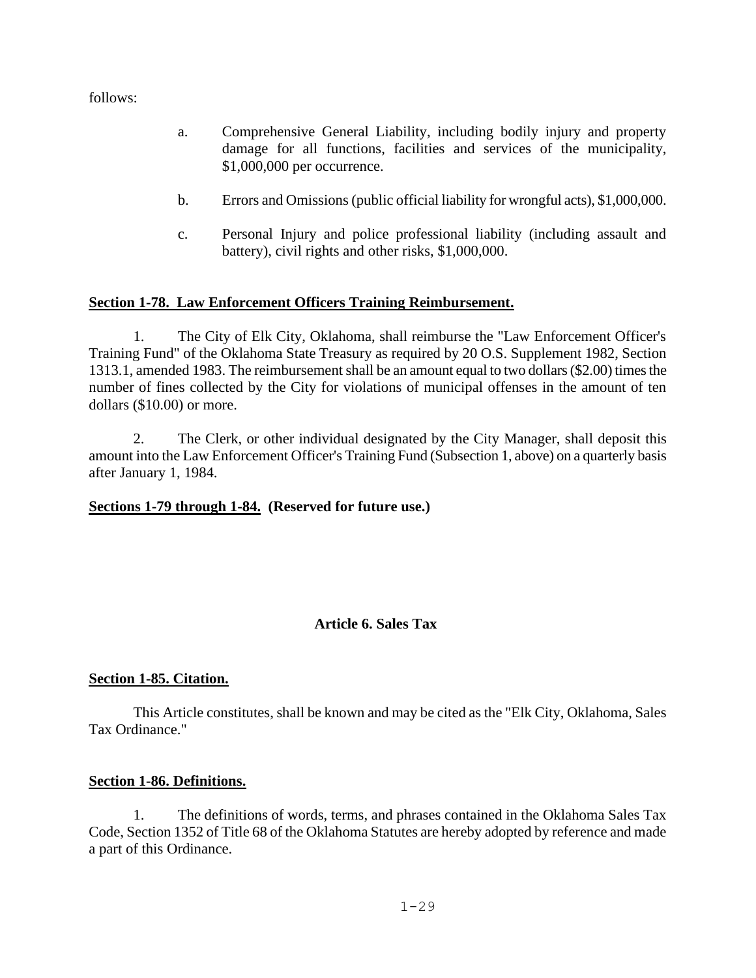follows:

- a. Comprehensive General Liability, including bodily injury and property damage for all functions, facilities and services of the municipality, \$1,000,000 per occurrence.
- b. Errors and Omissions (public official liability for wrongful acts), \$1,000,000.
- c. Personal Injury and police professional liability (including assault and battery), civil rights and other risks, \$1,000,000.

## **Section 1-78. Law Enforcement Officers Training Reimbursement.**

1. The City of Elk City, Oklahoma, shall reimburse the "Law Enforcement Officer's Training Fund" of the Oklahoma State Treasury as required by 20 O.S. Supplement 1982, Section 1313.1, amended 1983. The reimbursement shall be an amount equal to two dollars (\$2.00) times the number of fines collected by the City for violations of municipal offenses in the amount of ten dollars (\$10.00) or more.

2. The Clerk, or other individual designated by the City Manager, shall deposit this amount into the Law Enforcement Officer's Training Fund (Subsection 1, above) on a quarterly basis after January 1, 1984.

### **Sections 1-79 through 1-84. (Reserved for future use.)**

## **Article 6. Sales Tax**

### <span id="page-28-0"></span>**Section 1-85. Citation.**

This Article constitutes, shall be known and may be cited as the "Elk City, Oklahoma, Sales Tax Ordinance."

### **Section 1-86. Definitions.**

1. The definitions of words, terms, and phrases contained in the Oklahoma Sales Tax Code, Section 1352 of Title 68 of the Oklahoma Statutes are hereby adopted by reference and made a part of this Ordinance.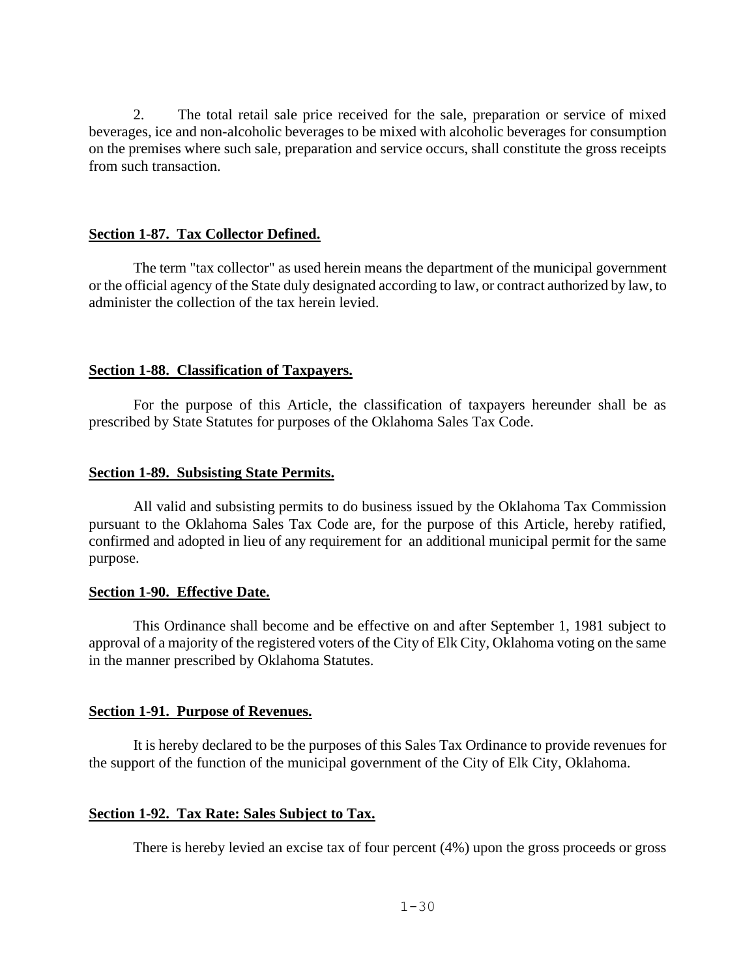2. The total retail sale price received for the sale, preparation or service of mixed beverages, ice and non-alcoholic beverages to be mixed with alcoholic beverages for consumption on the premises where such sale, preparation and service occurs, shall constitute the gross receipts from such transaction.

#### **Section 1-87. Tax Collector Defined.**

The term "tax collector" as used herein means the department of the municipal government or the official agency of the State duly designated according to law, or contract authorized by law, to administer the collection of the tax herein levied.

### **Section 1-88. Classification of Taxpayers.**

For the purpose of this Article, the classification of taxpayers hereunder shall be as prescribed by State Statutes for purposes of the Oklahoma Sales Tax Code.

#### **Section 1-89. Subsisting State Permits.**

All valid and subsisting permits to do business issued by the Oklahoma Tax Commission pursuant to the Oklahoma Sales Tax Code are, for the purpose of this Article, hereby ratified, confirmed and adopted in lieu of any requirement for an additional municipal permit for the same purpose.

#### **Section 1-90. Effective Date.**

This Ordinance shall become and be effective on and after September 1, 1981 subject to approval of a majority of the registered voters of the City of Elk City, Oklahoma voting on the same in the manner prescribed by Oklahoma Statutes.

### **Section 1-91. Purpose of Revenues.**

It is hereby declared to be the purposes of this Sales Tax Ordinance to provide revenues for the support of the function of the municipal government of the City of Elk City, Oklahoma.

### **Section 1-92. Tax Rate: Sales Subject to Tax.**

There is hereby levied an excise tax of four percent (4%) upon the gross proceeds or gross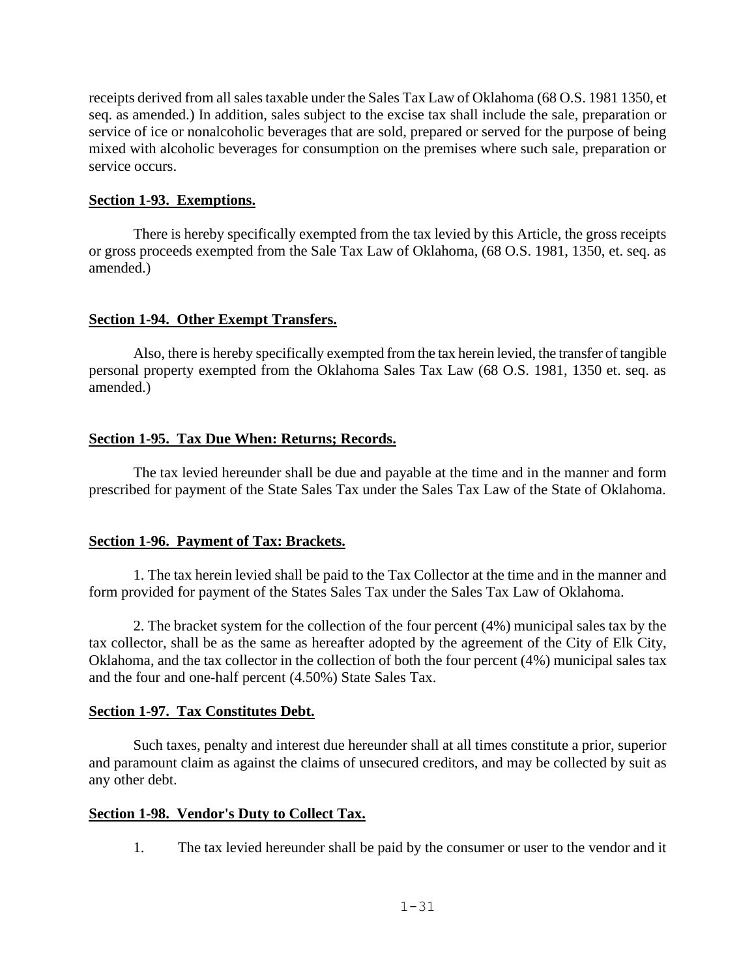receipts derived from all sales taxable under the Sales Tax Law of Oklahoma (68 O.S. 1981 1350, et seq. as amended.) In addition, sales subject to the excise tax shall include the sale, preparation or service of ice or nonalcoholic beverages that are sold, prepared or served for the purpose of being mixed with alcoholic beverages for consumption on the premises where such sale, preparation or service occurs.

### **Section 1-93. Exemptions.**

There is hereby specifically exempted from the tax levied by this Article, the gross receipts or gross proceeds exempted from the Sale Tax Law of Oklahoma, (68 O.S. 1981, 1350, et. seq. as amended.)

### **Section 1-94. Other Exempt Transfers.**

Also, there is hereby specifically exempted from the tax herein levied, the transfer of tangible personal property exempted from the Oklahoma Sales Tax Law (68 O.S. 1981, 1350 et. seq. as amended.)

### **Section 1-95. Tax Due When: Returns; Records.**

The tax levied hereunder shall be due and payable at the time and in the manner and form prescribed for payment of the State Sales Tax under the Sales Tax Law of the State of Oklahoma.

### **Section 1-96. Payment of Tax: Brackets.**

1. The tax herein levied shall be paid to the Tax Collector at the time and in the manner and form provided for payment of the States Sales Tax under the Sales Tax Law of Oklahoma.

2. The bracket system for the collection of the four percent (4%) municipal sales tax by the tax collector, shall be as the same as hereafter adopted by the agreement of the City of Elk City, Oklahoma, and the tax collector in the collection of both the four percent (4%) municipal sales tax and the four and one-half percent (4.50%) State Sales Tax.

### **Section 1-97. Tax Constitutes Debt.**

Such taxes, penalty and interest due hereunder shall at all times constitute a prior, superior and paramount claim as against the claims of unsecured creditors, and may be collected by suit as any other debt.

### **Section 1-98. Vendor's Duty to Collect Tax.**

1. The tax levied hereunder shall be paid by the consumer or user to the vendor and it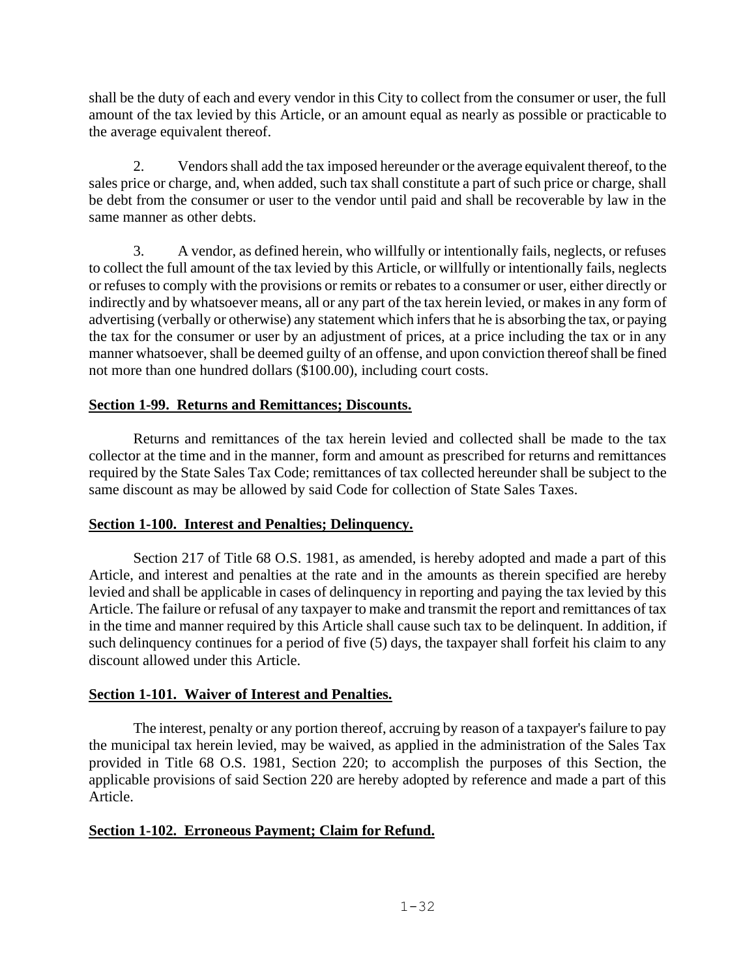shall be the duty of each and every vendor in this City to collect from the consumer or user, the full amount of the tax levied by this Article, or an amount equal as nearly as possible or practicable to the average equivalent thereof.

2. Vendors shall add the tax imposed hereunder or the average equivalent thereof, to the sales price or charge, and, when added, such tax shall constitute a part of such price or charge, shall be debt from the consumer or user to the vendor until paid and shall be recoverable by law in the same manner as other debts.

3. A vendor, as defined herein, who willfully or intentionally fails, neglects, or refuses to collect the full amount of the tax levied by this Article, or willfully or intentionally fails, neglects or refuses to comply with the provisions or remits or rebates to a consumer or user, either directly or indirectly and by whatsoever means, all or any part of the tax herein levied, or makes in any form of advertising (verbally or otherwise) any statement which infers that he is absorbing the tax, or paying the tax for the consumer or user by an adjustment of prices, at a price including the tax or in any manner whatsoever, shall be deemed guilty of an offense, and upon conviction thereof shall be fined not more than one hundred dollars (\$100.00), including court costs.

## **Section 1-99. Returns and Remittances; Discounts.**

Returns and remittances of the tax herein levied and collected shall be made to the tax collector at the time and in the manner, form and amount as prescribed for returns and remittances required by the State Sales Tax Code; remittances of tax collected hereunder shall be subject to the same discount as may be allowed by said Code for collection of State Sales Taxes.

# **Section 1-100. Interest and Penalties; Delinquency.**

Section 217 of Title 68 O.S. 1981, as amended, is hereby adopted and made a part of this Article, and interest and penalties at the rate and in the amounts as therein specified are hereby levied and shall be applicable in cases of delinquency in reporting and paying the tax levied by this Article. The failure or refusal of any taxpayer to make and transmit the report and remittances of tax in the time and manner required by this Article shall cause such tax to be delinquent. In addition, if such delinquency continues for a period of five (5) days, the taxpayer shall forfeit his claim to any discount allowed under this Article.

## **Section 1-101. Waiver of Interest and Penalties.**

The interest, penalty or any portion thereof, accruing by reason of a taxpayer's failure to pay the municipal tax herein levied, may be waived, as applied in the administration of the Sales Tax provided in Title 68 O.S. 1981, Section 220; to accomplish the purposes of this Section, the applicable provisions of said Section 220 are hereby adopted by reference and made a part of this Article.

# **Section 1-102. Erroneous Payment; Claim for Refund.**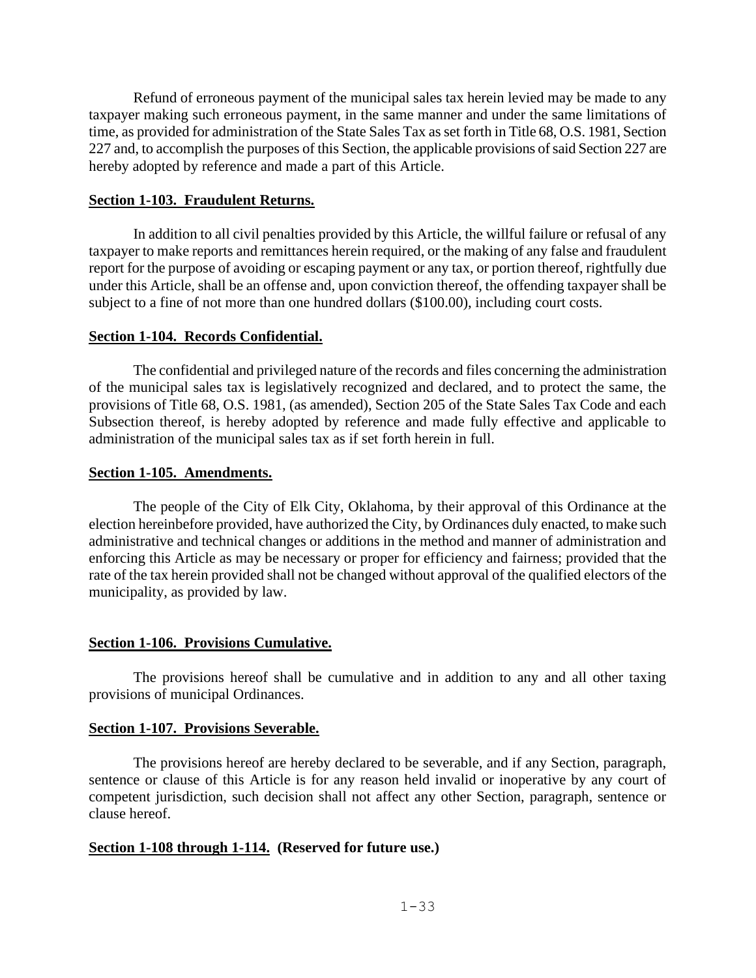Refund of erroneous payment of the municipal sales tax herein levied may be made to any taxpayer making such erroneous payment, in the same manner and under the same limitations of time, as provided for administration of the State Sales Tax as set forth in Title 68, O.S. 1981, Section 227 and, to accomplish the purposes of this Section, the applicable provisions of said Section 227 are hereby adopted by reference and made a part of this Article.

#### **Section 1-103. Fraudulent Returns.**

In addition to all civil penalties provided by this Article, the willful failure or refusal of any taxpayer to make reports and remittances herein required, or the making of any false and fraudulent report for the purpose of avoiding or escaping payment or any tax, or portion thereof, rightfully due under this Article, shall be an offense and, upon conviction thereof, the offending taxpayer shall be subject to a fine of not more than one hundred dollars (\$100.00), including court costs.

#### **Section 1-104. Records Confidential.**

The confidential and privileged nature of the records and files concerning the administration of the municipal sales tax is legislatively recognized and declared, and to protect the same, the provisions of Title 68, O.S. 1981, (as amended), Section 205 of the State Sales Tax Code and each Subsection thereof, is hereby adopted by reference and made fully effective and applicable to administration of the municipal sales tax as if set forth herein in full.

#### **Section 1-105. Amendments.**

The people of the City of Elk City, Oklahoma, by their approval of this Ordinance at the election hereinbefore provided, have authorized the City, by Ordinances duly enacted, to make such administrative and technical changes or additions in the method and manner of administration and enforcing this Article as may be necessary or proper for efficiency and fairness; provided that the rate of the tax herein provided shall not be changed without approval of the qualified electors of the municipality, as provided by law.

### **Section 1-106. Provisions Cumulative.**

The provisions hereof shall be cumulative and in addition to any and all other taxing provisions of municipal Ordinances.

#### **Section 1-107. Provisions Severable.**

The provisions hereof are hereby declared to be severable, and if any Section, paragraph, sentence or clause of this Article is for any reason held invalid or inoperative by any court of competent jurisdiction, such decision shall not affect any other Section, paragraph, sentence or clause hereof.

### **Section 1-108 through 1-114. (Reserved for future use.)**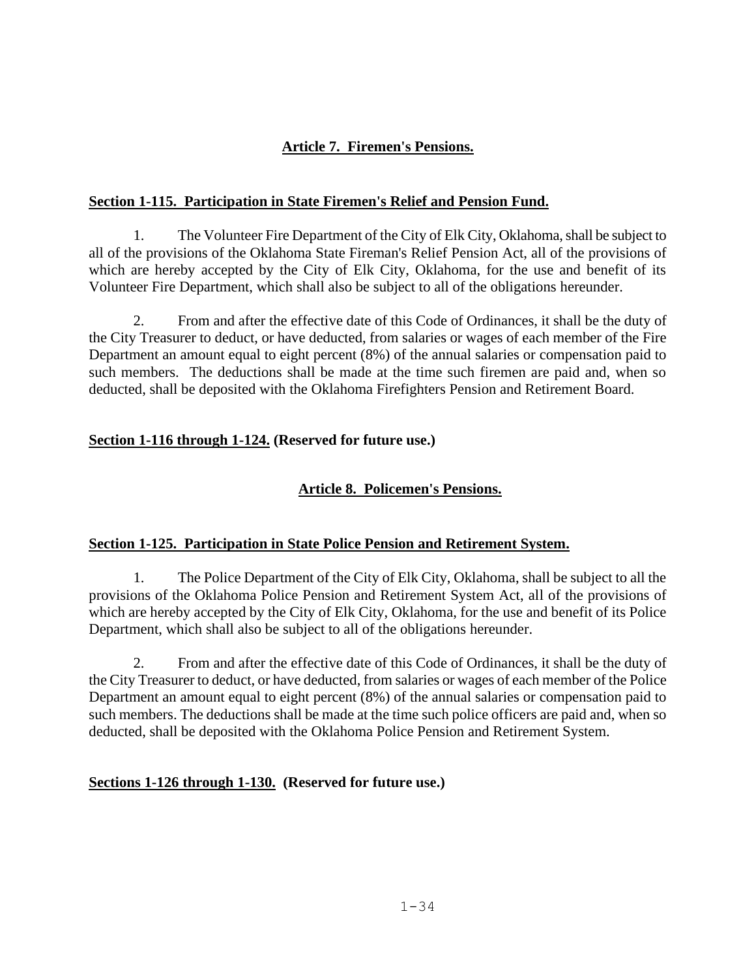# **Article 7. Firemen's Pensions.**

### <span id="page-33-0"></span>**Section 1-115. Participation in State Firemen's Relief and Pension Fund.**

1. The Volunteer Fire Department of the City of Elk City, Oklahoma, shall be subject to all of the provisions of the Oklahoma State Fireman's Relief Pension Act, all of the provisions of which are hereby accepted by the City of Elk City, Oklahoma, for the use and benefit of its Volunteer Fire Department, which shall also be subject to all of the obligations hereunder.

2. From and after the effective date of this Code of Ordinances, it shall be the duty of the City Treasurer to deduct, or have deducted, from salaries or wages of each member of the Fire Department an amount equal to eight percent (8%) of the annual salaries or compensation paid to such members. The deductions shall be made at the time such firemen are paid and, when so deducted, shall be deposited with the Oklahoma Firefighters Pension and Retirement Board.

## **Section 1-116 through 1-124. (Reserved for future use.)**

# <span id="page-33-1"></span>**Article 8. Policemen's Pensions.**

### **Section 1-125. Participation in State Police Pension and Retirement System.**

1. The Police Department of the City of Elk City, Oklahoma, shall be subject to all the provisions of the Oklahoma Police Pension and Retirement System Act, all of the provisions of which are hereby accepted by the City of Elk City, Oklahoma, for the use and benefit of its Police Department, which shall also be subject to all of the obligations hereunder.

2. From and after the effective date of this Code of Ordinances, it shall be the duty of the City Treasurer to deduct, or have deducted, from salaries or wages of each member of the Police Department an amount equal to eight percent (8%) of the annual salaries or compensation paid to such members. The deductions shall be made at the time such police officers are paid and, when so deducted, shall be deposited with the Oklahoma Police Pension and Retirement System.

### **Sections 1-126 through 1-130. (Reserved for future use.)**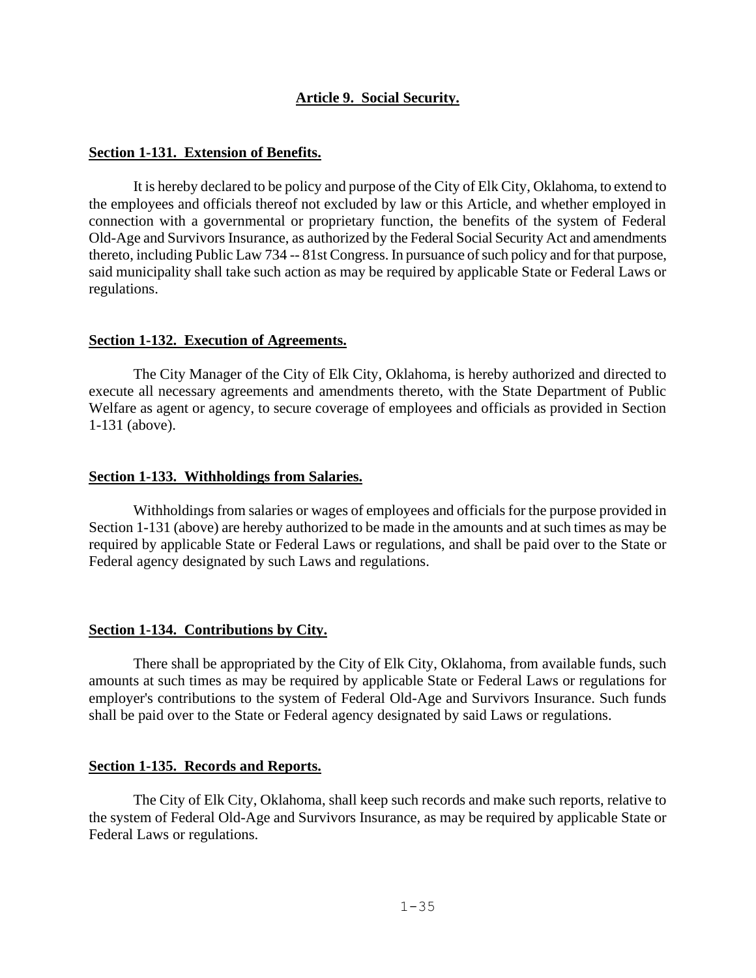### **Article 9. Social Security.**

#### <span id="page-34-0"></span>**Section 1-131. Extension of Benefits.**

It is hereby declared to be policy and purpose of the City of Elk City, Oklahoma, to extend to the employees and officials thereof not excluded by law or this Article, and whether employed in connection with a governmental or proprietary function, the benefits of the system of Federal Old-Age and Survivors Insurance, as authorized by the Federal Social Security Act and amendments thereto, including Public Law 734 -- 81st Congress. In pursuance of such policy and for that purpose, said municipality shall take such action as may be required by applicable State or Federal Laws or regulations.

#### **Section 1-132. Execution of Agreements.**

The City Manager of the City of Elk City, Oklahoma, is hereby authorized and directed to execute all necessary agreements and amendments thereto, with the State Department of Public Welfare as agent or agency, to secure coverage of employees and officials as provided in Section 1-131 (above).

#### **Section 1-133. Withholdings from Salaries.**

Withholdings from salaries or wages of employees and officials for the purpose provided in Section 1-131 (above) are hereby authorized to be made in the amounts and at such times as may be required by applicable State or Federal Laws or regulations, and shall be paid over to the State or Federal agency designated by such Laws and regulations.

#### **Section 1-134. Contributions by City.**

There shall be appropriated by the City of Elk City, Oklahoma, from available funds, such amounts at such times as may be required by applicable State or Federal Laws or regulations for employer's contributions to the system of Federal Old-Age and Survivors Insurance. Such funds shall be paid over to the State or Federal agency designated by said Laws or regulations.

#### **Section 1-135. Records and Reports.**

The City of Elk City, Oklahoma, shall keep such records and make such reports, relative to the system of Federal Old-Age and Survivors Insurance, as may be required by applicable State or Federal Laws or regulations.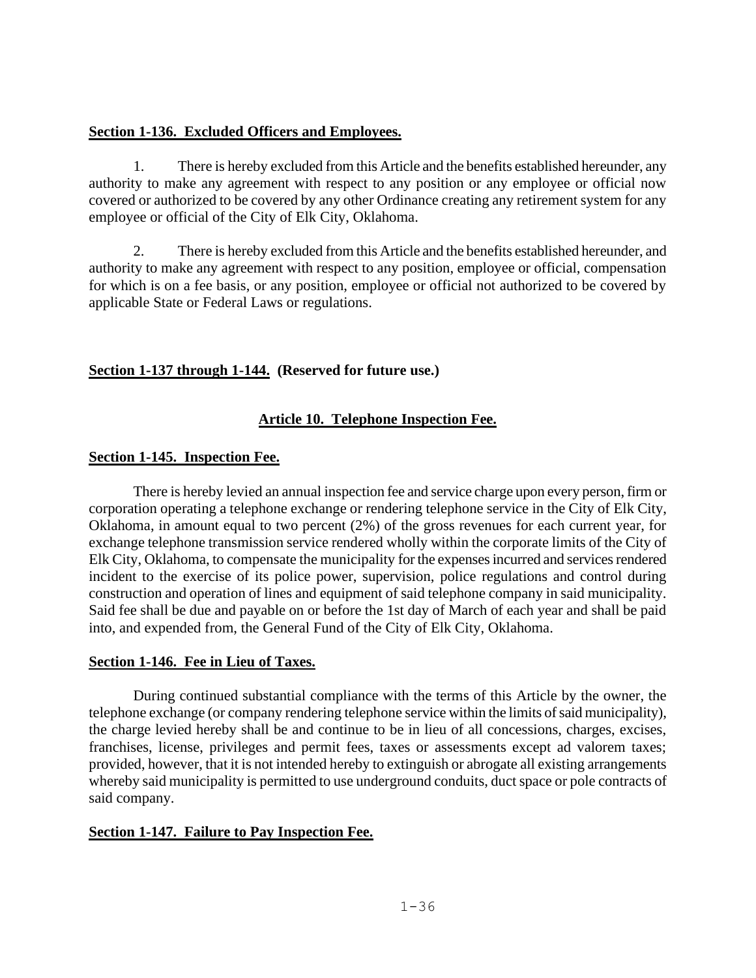### **Section 1-136. Excluded Officers and Employees.**

1. There is hereby excluded from this Article and the benefits established hereunder, any authority to make any agreement with respect to any position or any employee or official now covered or authorized to be covered by any other Ordinance creating any retirement system for any employee or official of the City of Elk City, Oklahoma.

2. There is hereby excluded from this Article and the benefits established hereunder, and authority to make any agreement with respect to any position, employee or official, compensation for which is on a fee basis, or any position, employee or official not authorized to be covered by applicable State or Federal Laws or regulations.

## <span id="page-35-0"></span>**Section 1-137 through 1-144. (Reserved for future use.)**

## **Article 10. Telephone Inspection Fee.**

### **Section 1-145. Inspection Fee.**

There is hereby levied an annual inspection fee and service charge upon every person, firm or corporation operating a telephone exchange or rendering telephone service in the City of Elk City, Oklahoma, in amount equal to two percent (2%) of the gross revenues for each current year, for exchange telephone transmission service rendered wholly within the corporate limits of the City of Elk City, Oklahoma, to compensate the municipality for the expenses incurred and services rendered incident to the exercise of its police power, supervision, police regulations and control during construction and operation of lines and equipment of said telephone company in said municipality. Said fee shall be due and payable on or before the 1st day of March of each year and shall be paid into, and expended from, the General Fund of the City of Elk City, Oklahoma.

### **Section 1-146. Fee in Lieu of Taxes.**

During continued substantial compliance with the terms of this Article by the owner, the telephone exchange (or company rendering telephone service within the limits of said municipality), the charge levied hereby shall be and continue to be in lieu of all concessions, charges, excises, franchises, license, privileges and permit fees, taxes or assessments except ad valorem taxes; provided, however, that it is not intended hereby to extinguish or abrogate all existing arrangements whereby said municipality is permitted to use underground conduits, duct space or pole contracts of said company.

### **Section 1-147. Failure to Pay Inspection Fee.**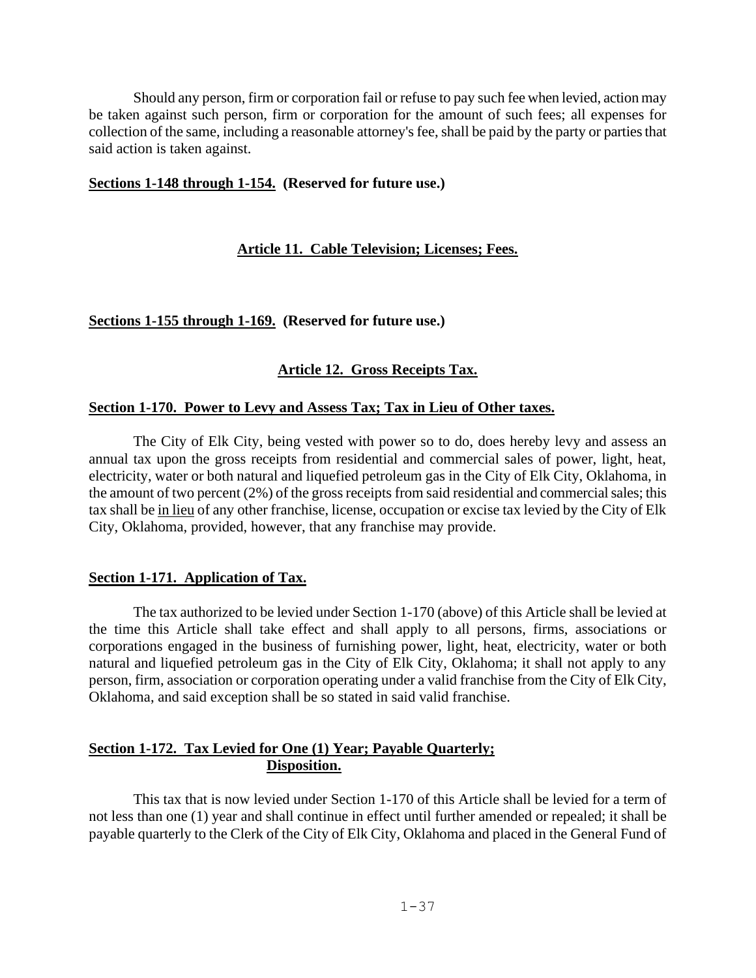Should any person, firm or corporation fail or refuse to pay such fee when levied, action may be taken against such person, firm or corporation for the amount of such fees; all expenses for collection of the same, including a reasonable attorney's fee, shall be paid by the party or parties that said action is taken against.

### <span id="page-36-0"></span>**Sections 1-148 through 1-154. (Reserved for future use.)**

## **Article 11. Cable Television; Licenses; Fees.**

### <span id="page-36-1"></span>**Sections 1-155 through 1-169. (Reserved for future use.)**

# **Article 12. Gross Receipts Tax.**

### **Section 1-170. Power to Levy and Assess Tax; Tax in Lieu of Other taxes.**

The City of Elk City, being vested with power so to do, does hereby levy and assess an annual tax upon the gross receipts from residential and commercial sales of power, light, heat, electricity, water or both natural and liquefied petroleum gas in the City of Elk City, Oklahoma, in the amount of two percent (2%) of the gross receipts from said residential and commercial sales; this tax shall be in lieu of any other franchise, license, occupation or excise tax levied by the City of Elk City, Oklahoma, provided, however, that any franchise may provide.

### **Section 1-171. Application of Tax.**

The tax authorized to be levied under Section 1-170 (above) of this Article shall be levied at the time this Article shall take effect and shall apply to all persons, firms, associations or corporations engaged in the business of furnishing power, light, heat, electricity, water or both natural and liquefied petroleum gas in the City of Elk City, Oklahoma; it shall not apply to any person, firm, association or corporation operating under a valid franchise from the City of Elk City, Oklahoma, and said exception shall be so stated in said valid franchise.

## **Section 1-172. Tax Levied for One (1) Year; Payable Quarterly; Disposition.**

This tax that is now levied under Section 1-170 of this Article shall be levied for a term of not less than one (1) year and shall continue in effect until further amended or repealed; it shall be payable quarterly to the Clerk of the City of Elk City, Oklahoma and placed in the General Fund of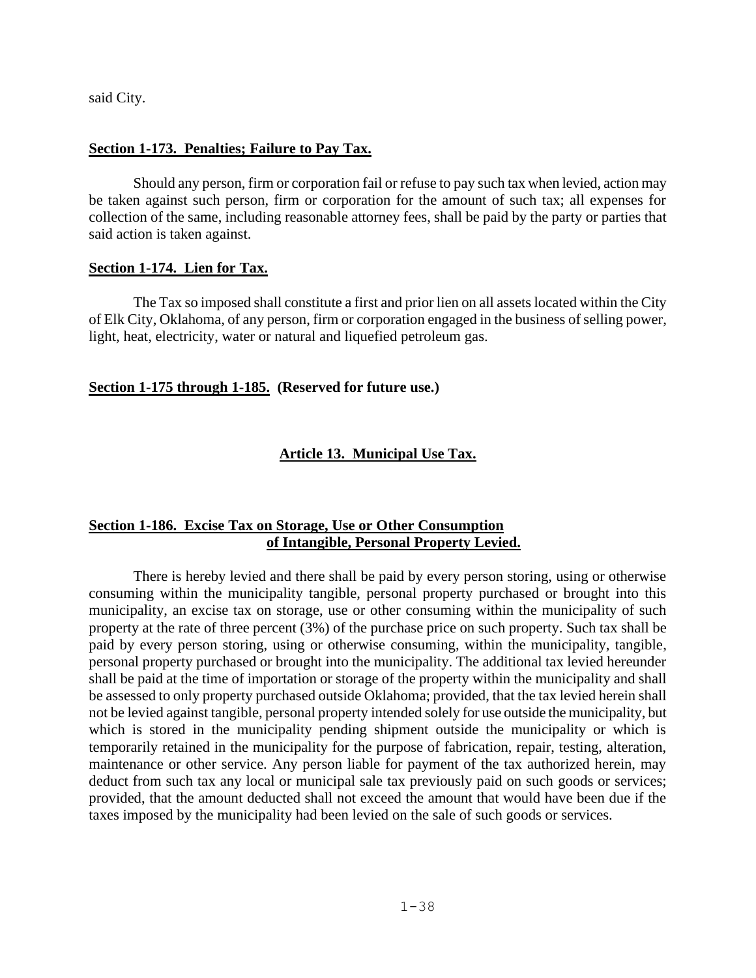said City.

### **Section 1-173. Penalties; Failure to Pay Tax.**

Should any person, firm or corporation fail or refuse to pay such tax when levied, action may be taken against such person, firm or corporation for the amount of such tax; all expenses for collection of the same, including reasonable attorney fees, shall be paid by the party or parties that said action is taken against.

### **Section 1-174. Lien for Tax.**

The Tax so imposed shall constitute a first and prior lien on all assets located within the City of Elk City, Oklahoma, of any person, firm or corporation engaged in the business of selling power, light, heat, electricity, water or natural and liquefied petroleum gas.

### <span id="page-37-0"></span>**Section 1-175 through 1-185. (Reserved for future use.)**

# **Article 13. Municipal Use Tax.**

## **Section 1-186. Excise Tax on Storage, Use or Other Consumption of Intangible, Personal Property Levied.**

There is hereby levied and there shall be paid by every person storing, using or otherwise consuming within the municipality tangible, personal property purchased or brought into this municipality, an excise tax on storage, use or other consuming within the municipality of such property at the rate of three percent (3%) of the purchase price on such property. Such tax shall be paid by every person storing, using or otherwise consuming, within the municipality, tangible, personal property purchased or brought into the municipality. The additional tax levied hereunder shall be paid at the time of importation or storage of the property within the municipality and shall be assessed to only property purchased outside Oklahoma; provided, that the tax levied herein shall not be levied against tangible, personal property intended solely for use outside the municipality, but which is stored in the municipality pending shipment outside the municipality or which is temporarily retained in the municipality for the purpose of fabrication, repair, testing, alteration, maintenance or other service. Any person liable for payment of the tax authorized herein, may deduct from such tax any local or municipal sale tax previously paid on such goods or services; provided, that the amount deducted shall not exceed the amount that would have been due if the taxes imposed by the municipality had been levied on the sale of such goods or services.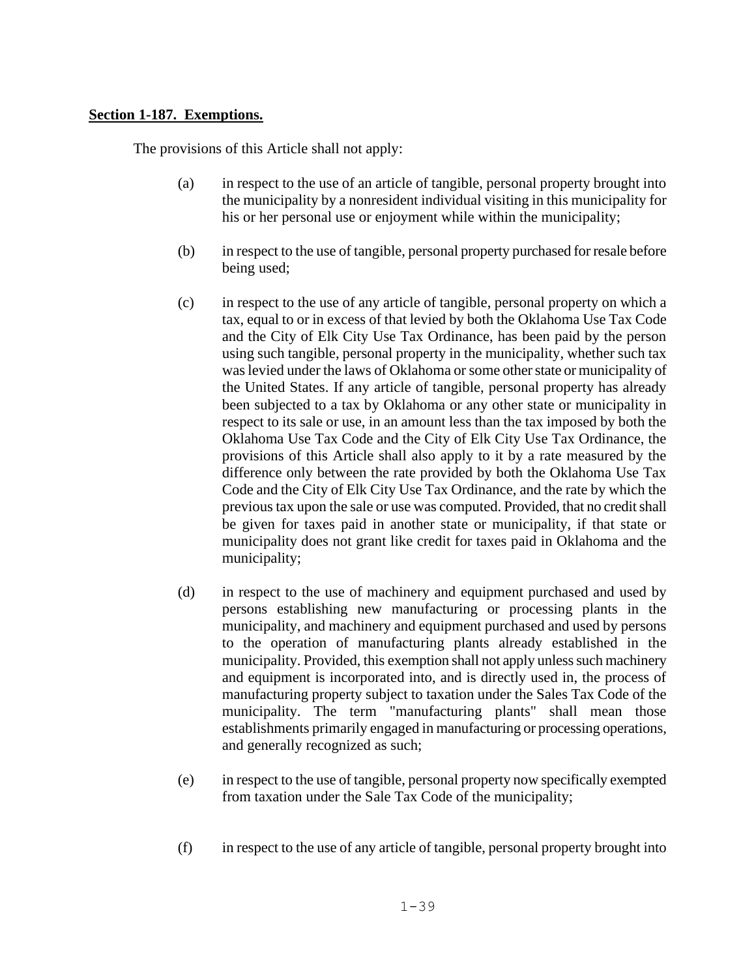### **Section 1-187. Exemptions.**

The provisions of this Article shall not apply:

- (a) in respect to the use of an article of tangible, personal property brought into the municipality by a nonresident individual visiting in this municipality for his or her personal use or enjoyment while within the municipality;
- (b) in respect to the use of tangible, personal property purchased for resale before being used;
- (c) in respect to the use of any article of tangible, personal property on which a tax, equal to or in excess of that levied by both the Oklahoma Use Tax Code and the City of Elk City Use Tax Ordinance, has been paid by the person using such tangible, personal property in the municipality, whether such tax was levied under the laws of Oklahoma or some other state or municipality of the United States. If any article of tangible, personal property has already been subjected to a tax by Oklahoma or any other state or municipality in respect to its sale or use, in an amount less than the tax imposed by both the Oklahoma Use Tax Code and the City of Elk City Use Tax Ordinance, the provisions of this Article shall also apply to it by a rate measured by the difference only between the rate provided by both the Oklahoma Use Tax Code and the City of Elk City Use Tax Ordinance, and the rate by which the previous tax upon the sale or use was computed. Provided, that no credit shall be given for taxes paid in another state or municipality, if that state or municipality does not grant like credit for taxes paid in Oklahoma and the municipality;
- (d) in respect to the use of machinery and equipment purchased and used by persons establishing new manufacturing or processing plants in the municipality, and machinery and equipment purchased and used by persons to the operation of manufacturing plants already established in the municipality. Provided, this exemption shall not apply unless such machinery and equipment is incorporated into, and is directly used in, the process of manufacturing property subject to taxation under the Sales Tax Code of the municipality. The term "manufacturing plants" shall mean those establishments primarily engaged in manufacturing or processing operations, and generally recognized as such;
- (e) in respect to the use of tangible, personal property now specifically exempted from taxation under the Sale Tax Code of the municipality;
- (f) in respect to the use of any article of tangible, personal property brought into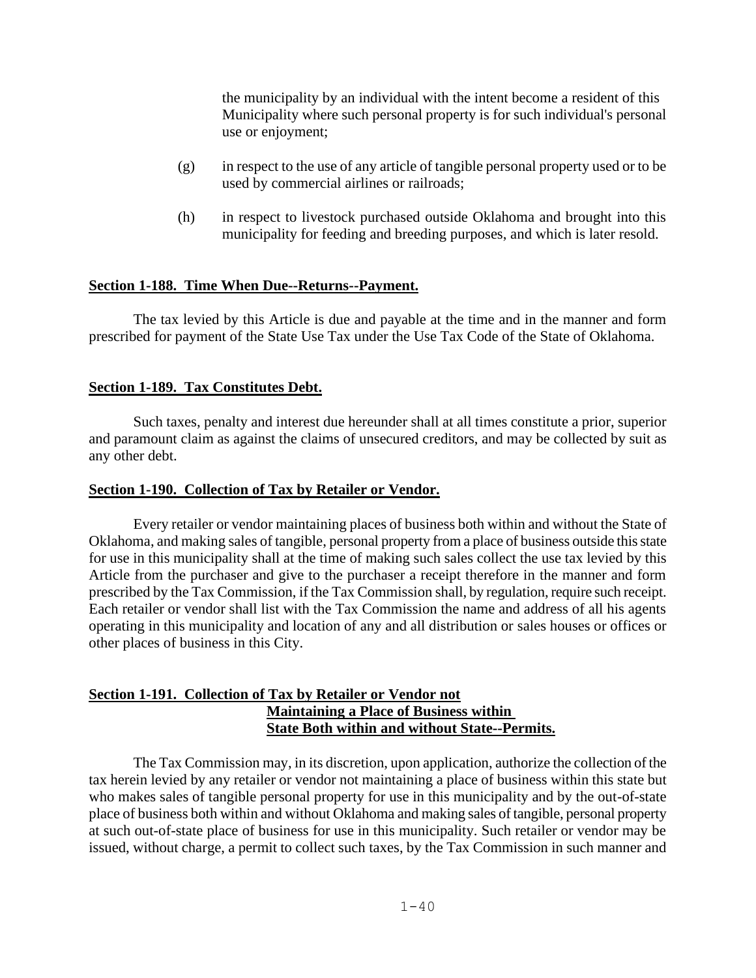the municipality by an individual with the intent become a resident of this Municipality where such personal property is for such individual's personal use or enjoyment;

- (g) in respect to the use of any article of tangible personal property used or to be used by commercial airlines or railroads;
- (h) in respect to livestock purchased outside Oklahoma and brought into this municipality for feeding and breeding purposes, and which is later resold.

### **Section 1-188. Time When Due--Returns--Payment.**

The tax levied by this Article is due and payable at the time and in the manner and form prescribed for payment of the State Use Tax under the Use Tax Code of the State of Oklahoma.

### **Section 1-189. Tax Constitutes Debt.**

Such taxes, penalty and interest due hereunder shall at all times constitute a prior, superior and paramount claim as against the claims of unsecured creditors, and may be collected by suit as any other debt.

### **Section 1-190. Collection of Tax by Retailer or Vendor.**

Every retailer or vendor maintaining places of business both within and without the State of Oklahoma, and making sales of tangible, personal property from a place of business outside this state for use in this municipality shall at the time of making such sales collect the use tax levied by this Article from the purchaser and give to the purchaser a receipt therefore in the manner and form prescribed by the Tax Commission, if the Tax Commission shall, by regulation, require such receipt. Each retailer or vendor shall list with the Tax Commission the name and address of all his agents operating in this municipality and location of any and all distribution or sales houses or offices or other places of business in this City.

### **Section 1-191. Collection of Tax by Retailer or Vendor not Maintaining a Place of Business within State Both within and without State--Permits.**

The Tax Commission may, in its discretion, upon application, authorize the collection of the tax herein levied by any retailer or vendor not maintaining a place of business within this state but who makes sales of tangible personal property for use in this municipality and by the out-of-state place of business both within and without Oklahoma and making sales of tangible, personal property at such out-of-state place of business for use in this municipality. Such retailer or vendor may be issued, without charge, a permit to collect such taxes, by the Tax Commission in such manner and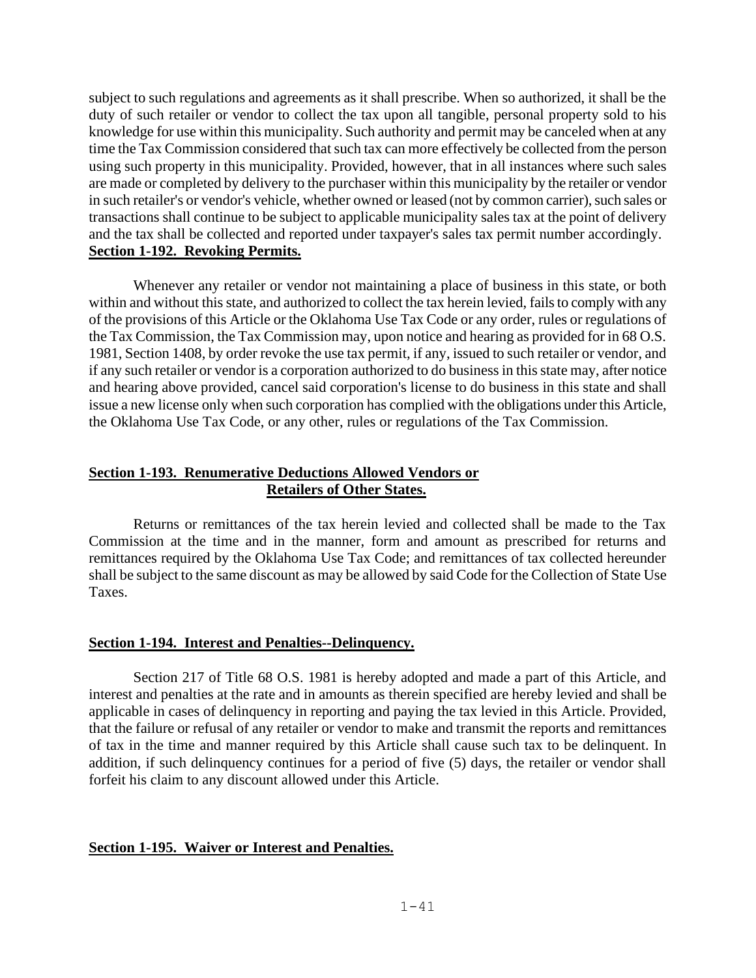subject to such regulations and agreements as it shall prescribe. When so authorized, it shall be the duty of such retailer or vendor to collect the tax upon all tangible, personal property sold to his knowledge for use within this municipality. Such authority and permit may be canceled when at any time the Tax Commission considered that such tax can more effectively be collected from the person using such property in this municipality. Provided, however, that in all instances where such sales are made or completed by delivery to the purchaser within this municipality by the retailer or vendor in such retailer's or vendor's vehicle, whether owned or leased (not by common carrier), such sales or transactions shall continue to be subject to applicable municipality sales tax at the point of delivery and the tax shall be collected and reported under taxpayer's sales tax permit number accordingly. **Section 1-192. Revoking Permits.**

Whenever any retailer or vendor not maintaining a place of business in this state, or both within and without this state, and authorized to collect the tax herein levied, fails to comply with any of the provisions of this Article or the Oklahoma Use Tax Code or any order, rules or regulations of the Tax Commission, the Tax Commission may, upon notice and hearing as provided for in 68 O.S. 1981, Section 1408, by order revoke the use tax permit, if any, issued to such retailer or vendor, and if any such retailer or vendor is a corporation authorized to do business in this state may, after notice and hearing above provided, cancel said corporation's license to do business in this state and shall issue a new license only when such corporation has complied with the obligations under this Article, the Oklahoma Use Tax Code, or any other, rules or regulations of the Tax Commission.

### **Section 1-193. Renumerative Deductions Allowed Vendors or Retailers of Other States.**

Returns or remittances of the tax herein levied and collected shall be made to the Tax Commission at the time and in the manner, form and amount as prescribed for returns and remittances required by the Oklahoma Use Tax Code; and remittances of tax collected hereunder shall be subject to the same discount as may be allowed by said Code for the Collection of State Use Taxes.

### **Section 1-194. Interest and Penalties--Delinquency.**

Section 217 of Title 68 O.S. 1981 is hereby adopted and made a part of this Article, and interest and penalties at the rate and in amounts as therein specified are hereby levied and shall be applicable in cases of delinquency in reporting and paying the tax levied in this Article. Provided, that the failure or refusal of any retailer or vendor to make and transmit the reports and remittances of tax in the time and manner required by this Article shall cause such tax to be delinquent. In addition, if such delinquency continues for a period of five (5) days, the retailer or vendor shall forfeit his claim to any discount allowed under this Article.

### **Section 1-195. Waiver or Interest and Penalties.**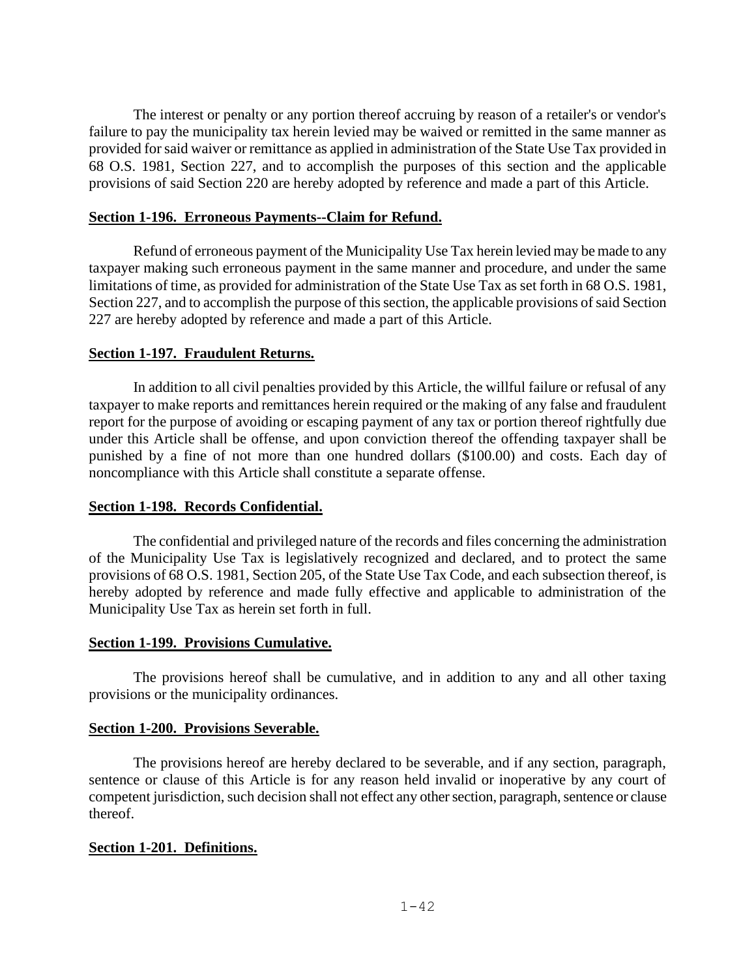The interest or penalty or any portion thereof accruing by reason of a retailer's or vendor's failure to pay the municipality tax herein levied may be waived or remitted in the same manner as provided for said waiver or remittance as applied in administration of the State Use Tax provided in 68 O.S. 1981, Section 227, and to accomplish the purposes of this section and the applicable provisions of said Section 220 are hereby adopted by reference and made a part of this Article.

#### **Section 1-196. Erroneous Payments--Claim for Refund.**

Refund of erroneous payment of the Municipality Use Tax herein levied may be made to any taxpayer making such erroneous payment in the same manner and procedure, and under the same limitations of time, as provided for administration of the State Use Tax as set forth in 68 O.S. 1981, Section 227, and to accomplish the purpose of this section, the applicable provisions of said Section 227 are hereby adopted by reference and made a part of this Article.

#### **Section 1-197. Fraudulent Returns.**

In addition to all civil penalties provided by this Article, the willful failure or refusal of any taxpayer to make reports and remittances herein required or the making of any false and fraudulent report for the purpose of avoiding or escaping payment of any tax or portion thereof rightfully due under this Article shall be offense, and upon conviction thereof the offending taxpayer shall be punished by a fine of not more than one hundred dollars (\$100.00) and costs. Each day of noncompliance with this Article shall constitute a separate offense.

#### **Section 1-198. Records Confidential.**

The confidential and privileged nature of the records and files concerning the administration of the Municipality Use Tax is legislatively recognized and declared, and to protect the same provisions of 68 O.S. 1981, Section 205, of the State Use Tax Code, and each subsection thereof, is hereby adopted by reference and made fully effective and applicable to administration of the Municipality Use Tax as herein set forth in full.

#### **Section 1-199. Provisions Cumulative.**

The provisions hereof shall be cumulative, and in addition to any and all other taxing provisions or the municipality ordinances.

#### **Section 1-200. Provisions Severable.**

The provisions hereof are hereby declared to be severable, and if any section, paragraph, sentence or clause of this Article is for any reason held invalid or inoperative by any court of competent jurisdiction, such decision shall not effect any other section, paragraph, sentence or clause thereof.

### **Section 1-201. Definitions.**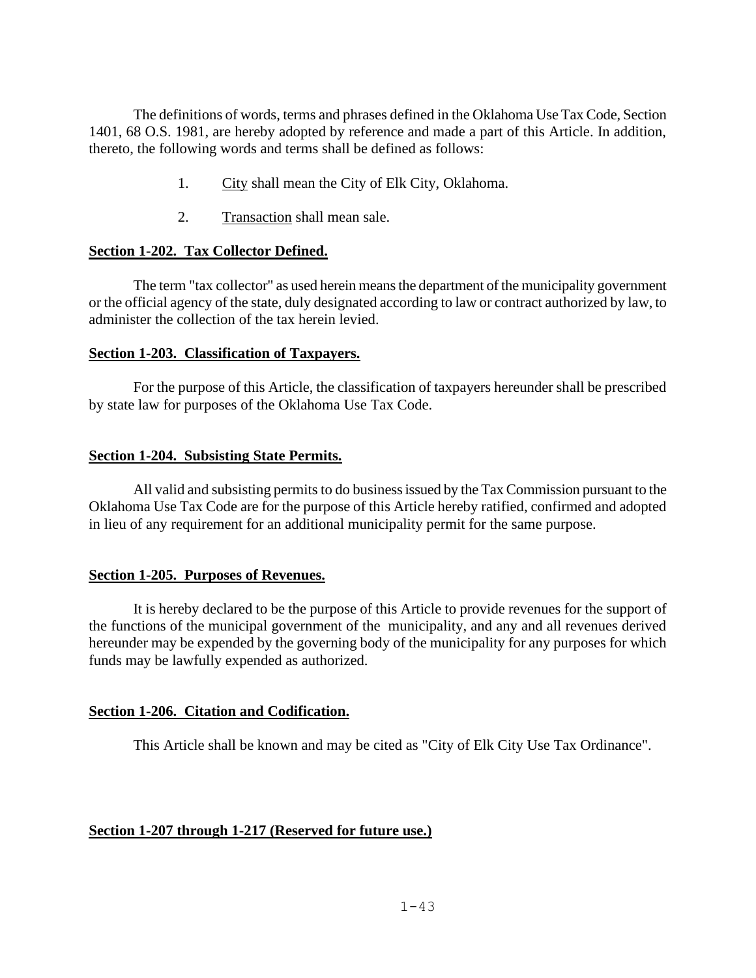The definitions of words, terms and phrases defined in the Oklahoma Use Tax Code, Section 1401, 68 O.S. 1981, are hereby adopted by reference and made a part of this Article. In addition, thereto, the following words and terms shall be defined as follows:

- 1. City shall mean the City of Elk City, Oklahoma.
- 2. Transaction shall mean sale.

### **Section 1-202. Tax Collector Defined.**

The term "tax collector" as used herein means the department of the municipality government or the official agency of the state, duly designated according to law or contract authorized by law, to administer the collection of the tax herein levied.

### **Section 1-203. Classification of Taxpayers.**

For the purpose of this Article, the classification of taxpayers hereunder shall be prescribed by state law for purposes of the Oklahoma Use Tax Code.

### **Section 1-204. Subsisting State Permits.**

All valid and subsisting permits to do business issued by the Tax Commission pursuant to the Oklahoma Use Tax Code are for the purpose of this Article hereby ratified, confirmed and adopted in lieu of any requirement for an additional municipality permit for the same purpose.

## **Section 1-205. Purposes of Revenues.**

It is hereby declared to be the purpose of this Article to provide revenues for the support of the functions of the municipal government of the municipality, and any and all revenues derived hereunder may be expended by the governing body of the municipality for any purposes for which funds may be lawfully expended as authorized.

## **Section 1-206. Citation and Codification.**

This Article shall be known and may be cited as "City of Elk City Use Tax Ordinance".

## **Section 1-207 through 1-217 (Reserved for future use.)**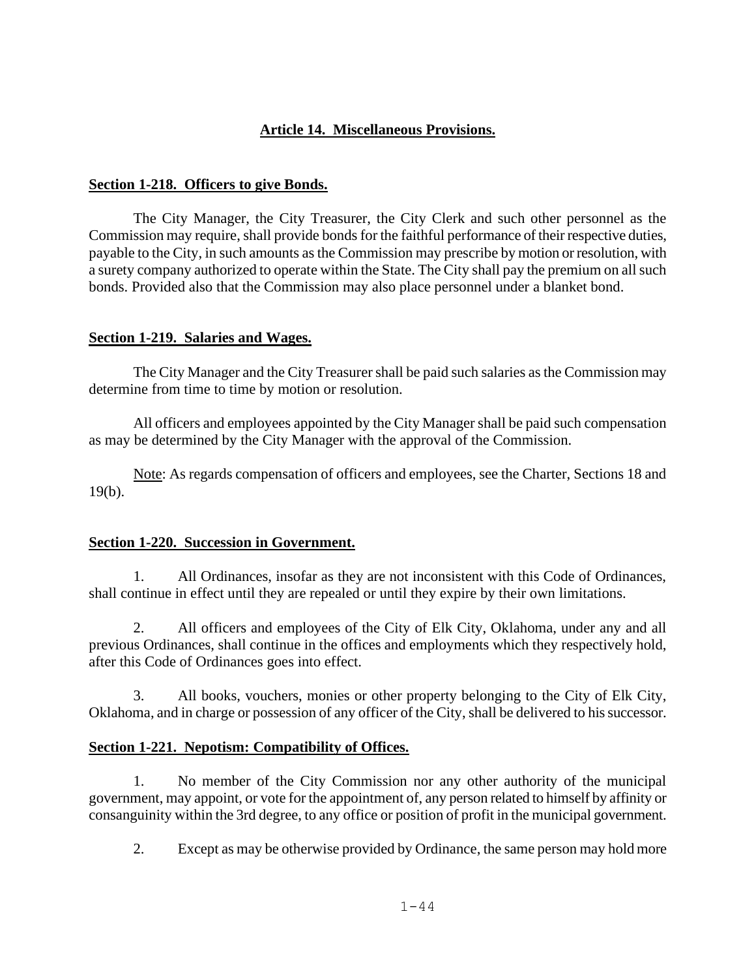## **Article 14. Miscellaneous Provisions.**

### <span id="page-43-0"></span>**Section 1-218. Officers to give Bonds.**

The City Manager, the City Treasurer, the City Clerk and such other personnel as the Commission may require, shall provide bonds for the faithful performance of their respective duties, payable to the City, in such amounts as the Commission may prescribe by motion or resolution, with a surety company authorized to operate within the State. The City shall pay the premium on all such bonds. Provided also that the Commission may also place personnel under a blanket bond.

### **Section 1-219. Salaries and Wages.**

The City Manager and the City Treasurer shall be paid such salaries as the Commission may determine from time to time by motion or resolution.

All officers and employees appointed by the City Manager shall be paid such compensation as may be determined by the City Manager with the approval of the Commission.

Note: As regards compensation of officers and employees, see the Charter, Sections 18 and 19(b).

### **Section 1-220. Succession in Government.**

1. All Ordinances, insofar as they are not inconsistent with this Code of Ordinances, shall continue in effect until they are repealed or until they expire by their own limitations.

2. All officers and employees of the City of Elk City, Oklahoma, under any and all previous Ordinances, shall continue in the offices and employments which they respectively hold, after this Code of Ordinances goes into effect.

3. All books, vouchers, monies or other property belonging to the City of Elk City, Oklahoma, and in charge or possession of any officer of the City, shall be delivered to his successor.

## **Section 1-221. Nepotism: Compatibility of Offices.**

1. No member of the City Commission nor any other authority of the municipal government, may appoint, or vote for the appointment of, any person related to himself by affinity or consanguinity within the 3rd degree, to any office or position of profit in the municipal government.

2. Except as may be otherwise provided by Ordinance, the same person may hold more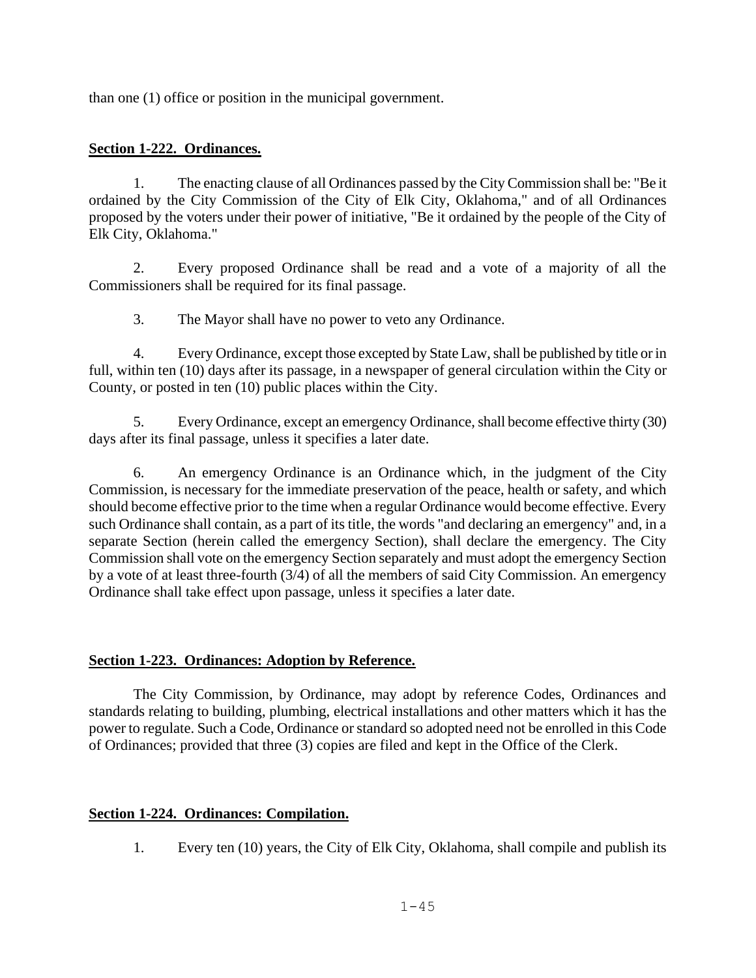than one (1) office or position in the municipal government.

### **Section 1-222. Ordinances.**

1. The enacting clause of all Ordinances passed by the City Commission shall be: "Be it ordained by the City Commission of the City of Elk City, Oklahoma," and of all Ordinances proposed by the voters under their power of initiative, "Be it ordained by the people of the City of Elk City, Oklahoma."

2. Every proposed Ordinance shall be read and a vote of a majority of all the Commissioners shall be required for its final passage.

3. The Mayor shall have no power to veto any Ordinance.

4. Every Ordinance, except those excepted by State Law, shall be published by title or in full, within ten (10) days after its passage, in a newspaper of general circulation within the City or County, or posted in ten (10) public places within the City.

5. Every Ordinance, except an emergency Ordinance, shall become effective thirty (30) days after its final passage, unless it specifies a later date.

6. An emergency Ordinance is an Ordinance which, in the judgment of the City Commission, is necessary for the immediate preservation of the peace, health or safety, and which should become effective prior to the time when a regular Ordinance would become effective. Every such Ordinance shall contain, as a part of its title, the words "and declaring an emergency" and, in a separate Section (herein called the emergency Section), shall declare the emergency. The City Commission shall vote on the emergency Section separately and must adopt the emergency Section by a vote of at least three-fourth (3/4) of all the members of said City Commission. An emergency Ordinance shall take effect upon passage, unless it specifies a later date.

## **Section 1-223. Ordinances: Adoption by Reference.**

The City Commission, by Ordinance, may adopt by reference Codes, Ordinances and standards relating to building, plumbing, electrical installations and other matters which it has the power to regulate. Such a Code, Ordinance or standard so adopted need not be enrolled in this Code of Ordinances; provided that three (3) copies are filed and kept in the Office of the Clerk.

## **Section 1-224. Ordinances: Compilation.**

1. Every ten (10) years, the City of Elk City, Oklahoma, shall compile and publish its